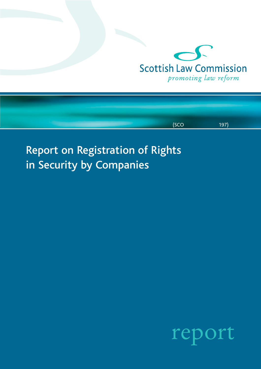

(SCO 197)

# Report on Registration of Rights in Security by Companies

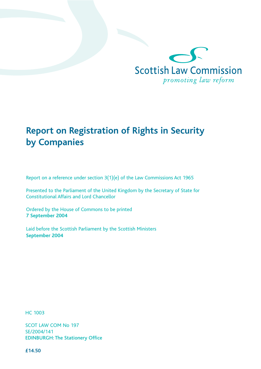

# **Report on Registration of Rights in Security by Companies**

Report on a reference under section 3(1)(e) of the Law Commissions Act 1965

Presented to the Parliament of the United Kingdom by the Secretary of State for Constitutional Affairs and Lord Chancellor

Ordered by the House of Commons to be printed **7 September 2004** 

Laid before the Scottish Parliament by the Scottish Ministers **September 2004** 

HC 1003

SCOT LAW COM No 197 SE/2004/141 EDINBURGH: The Stationery Office

**£14.50**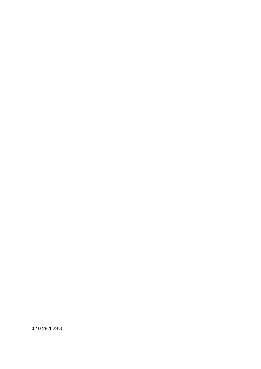0 10 292629 8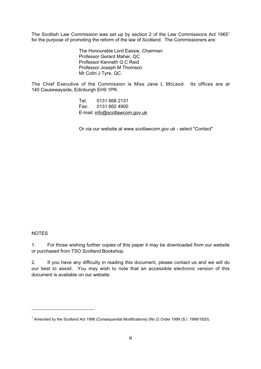The Scottish Law Commission was set up by section 2 of the Law Commissions Act 1965<sup>1</sup> for the purpose of promoting the reform of the law of Scotland. The Commissioners are:

> The Honourable Lord Eassie, *Chairman*  Professor Gerard Maher, QC Professor Kenneth G C Reid Professor Joseph M Thomson Mr Colin J Tyre, QC.

The Chief Executive of the Commission is Miss Jane L McLeod. Its offices are at 140 Causewayside, Edinburgh EH9 1PR.

> Tel: 0131 668 2131 Fax: 0131 662 4900 E-mail: info@scotlawcom.gov.uk

Or via our website at www.scotlawcom.gov.uk - select "Contact"

#### NOTES

1. For those wishing further copies of this paper it may be downloaded from our website or purchased from TSO Scotland Bookshop.

2. If you have any difficulty in reading this document, please contact us and we will do our best to assist. You may wish to note that an accessible electronic version of this document is available on our website.

<sup>&</sup>lt;sup>1</sup> Amended by the Scotland Act 1998 (Consequential Modifications) (No 2) Order 1999 (S.I. 1999/1820).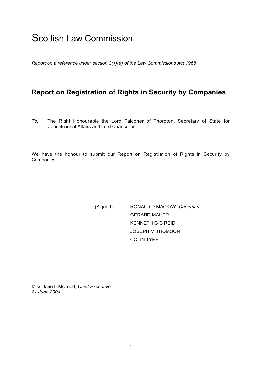### Scottish Law Commission

*Report on a reference under section 3(1)(e) of the Law Commissions Act 1965* 

### **Report on Registration of Rights in Security by Companies**

*To:*  The Right Honourable the Lord Falconer of Thoroton, Secretary of State for Constitutional Affairs and Lord Chancellor

We have the honour to submit our Report on Registration of Rights in Security by Companies.

(Signed) RONALD D MACKAY, *Chairman*  GERARD MAHER KENNETH G C REID JOSEPH M THOMSON COLIN TYRE

Miss Jane L McLeod, *Chief Executive 21 June 2004*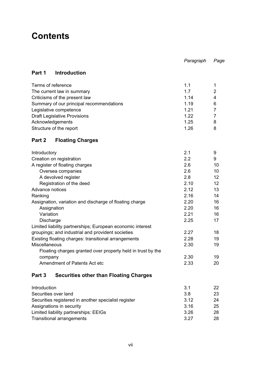### **Contents**

|                                                             | Paragraph | Page           |
|-------------------------------------------------------------|-----------|----------------|
| <b>Introduction</b><br>Part 1                               |           |                |
| Terms of reference                                          | 1.1       | 1              |
| The current law in summary                                  | 1.7       | 2              |
| Criticisms of the present law                               | 1.14      | 4              |
| Summary of our principal recommendations                    | 1.19      | 6              |
| Legislative competence                                      | 1.21      | $\overline{7}$ |
| <b>Draft Legislative Provisions</b>                         | 1.22      | $\overline{7}$ |
| Acknowledgements                                            | 1.25      | 8              |
| Structure of the report                                     | 1.26      | 8              |
| Part 2<br><b>Floating Charges</b>                           |           |                |
| Introductory                                                | 2.1       | 9              |
| Creation on registration                                    | 2.2       | 9              |
| A register of floating charges                              | 2.6       | 10             |
| Oversea companies                                           | 2.6       | 10             |
| A devolved register                                         | 2.8       | 12             |
| Registration of the deed                                    | 2.10      | 12             |
| Advance notices                                             | 2.12      | 13             |
| Ranking                                                     | 2.16      | 14             |
| Assignation, variation and discharge of floating charge     | 2.20      | 16             |
| Assignation                                                 | 2.20      | 16             |
| Variation                                                   | 2.21      | 16             |
| Discharge                                                   | 2.25      | 17             |
| Limited liability partnerships; European economic interest  |           |                |
| groupings; and industrial and provident societies           | 2.27      | 18             |
| Existing floating charges: transitional arrangements        | 2.28      | 19             |
| Miscellaneous                                               | 2.30      | 19             |
| Floating charges granted over property held in trust by the |           |                |
| company                                                     | 2.30      | 19             |
| Amendment of Patents Act etc                                | 2.33      | 20             |
| Part 3<br><b>Securities other than Floating Charges</b>     |           |                |
| Introduction                                                | 3.1       | 22             |
| Securities over land                                        |           | 23             |

24

25

28

28

Securities registered in another specialist register 3.12

Assignations in security 3.16

Limited liability partnerships: EEIGs 3.26

Transitional arrangements 3.27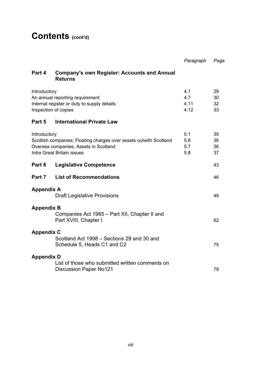## **Contents (cont'd)**

|                        |                                                                                                                                                 | Paragraph                  | Page                 |
|------------------------|-------------------------------------------------------------------------------------------------------------------------------------------------|----------------------------|----------------------|
| Part 4                 | <b>Company's own Register: Accounts and Annual</b><br><b>Returns</b>                                                                            |                            |                      |
| Introductory<br>Part 5 | An annual reporting requirement<br>Internal register or duty to supply details<br>Inspection of copies<br><b>International Private Law</b>      | 4.1<br>4.7<br>4.11<br>4.12 | 29<br>30<br>32<br>33 |
|                        |                                                                                                                                                 |                            |                      |
| Introductory           | Scottish companies: Floating charges over assets outwith Scotland<br>Oversea companies: Assets in Scotland<br><b>Intra Great Britain issues</b> | 5.1<br>5.6<br>5.7<br>5.8   | 35<br>36<br>36<br>37 |
| Part 6                 | <b>Legislative Competence</b>                                                                                                                   |                            | 43                   |
| Part 7                 | <b>List of Recommendations</b>                                                                                                                  |                            | 46                   |
| <b>Appendix A</b>      | <b>Draft Legislative Provisions</b>                                                                                                             |                            | 49                   |
| <b>Appendix B</b>      | Companies Act 1985 - Part XII, Chapter II and<br>Part XVIII, Chapter I                                                                          |                            | 62                   |
| <b>Appendix C</b>      | Scotland Act 1998 - Sections 29 and 30 and<br>Schedule 5, Heads C1 and C2                                                                       |                            | 75                   |
| <b>Appendix D</b>      |                                                                                                                                                 |                            |                      |
|                        | List of those who submitted written comments on<br><b>Discussion Paper No121</b>                                                                |                            | 79                   |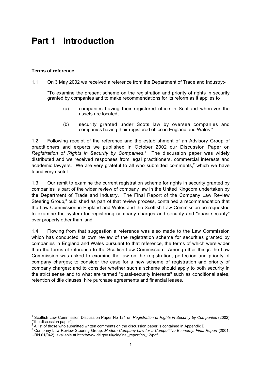### **Part 1 Introduction**

#### **Terms of reference**

1.1 On 3 May 2002 we received a reference from the Department of Trade and Industry:

"To examine the present scheme on the registration and priority of rights in security granted by companies and to make recommendations for its reform as it applies to

- (a) companies having their registered office in Scotland wherever the assets are located;
- (b) security granted under Scots law by oversea companies and companies having their registered office in England and Wales.".

1.2 Following receipt of the reference and the establishment of an Advisory Group of practitioners and experts we published in October 2002 our Discussion Paper on *Registration of Rights in Security by Companies*. 1 The discussion paper was widely distributed and we received responses from legal practitioners, commercial interests and academic lawyers. We are very grateful to all who submitted comments,<sup>2</sup> which we have found very useful.

1.3 Our remit to examine the current registration scheme for rights in security granted by companies is part of the wider review of company law in the United Kingdom undertaken by the Department of Trade and Industry. The Final Report of the Company Law Review Steering Group,<sup>3</sup> published as part of that review process, contained a recommendation that the Law Commission in England and Wales and the Scottish Law Commission be requested to examine the system for registering company charges and security and "quasi-security" over property other than land.

1.4 Flowing from that suggestion a reference was also made to the Law Commission which has conducted its own review of the registration scheme for securities granted by companies in England and Wales pursuant to that reference, the terms of which were wider than the terms of reference to the Scottish Law Commission. Among other things the Law Commission was asked to examine the law on the registration, perfection and priority of company charges; to consider the case for a new scheme of registration and priority of company charges; and to consider whether such a scheme should apply to both security in the strict sense and to what are termed "quasi-security interests" such as conditional sales, retention of title clauses, hire purchase agreements and financial leases.

<sup>1</sup> Scottish Law Commission Discussion Paper No 121 on *Registration of Rights in Security by Companies* (2002) ("the discussion paper").<br><sup>2</sup> A list of these who subp

A list of those who submitted written comments on the discussion paper is contained in Appendix D.

<sup>&</sup>lt;sup>3</sup> Company Law Review Steering Group, Modern Company Law for a Competitive Economy: Final Report (2001, URN 01/942), available at http://www.dti.gov.uk/cld/final\_report/ch\_12/pdf.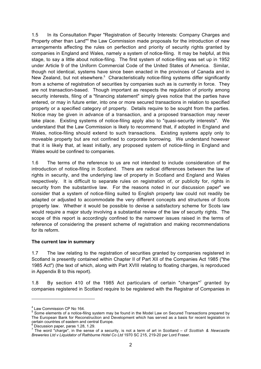1.5 In its Consultation Paper "Registration of Security Interests: Company Charges and Property other than Land"<sup>4</sup> the Law Commission made proposals for the introduction of new arrangements affecting the rules on perfection and priority of security rights granted by companies in England and Wales, namely a system of notice-filing. It may be helpful, at this stage, to say a little about notice-filing. The first system of notice-filing was set up in 1952 under Article 9 of the Uniform Commercial Code of the United States of America. Similar, though not identical, systems have since been enacted in the provinces of Canada and in New Zealand, but not elsewhere.<sup>5</sup> Characteristically notice-filing systems differ significantly from a scheme of registration of securities by companies such as is currently in force. They are not transaction-based. Though important as respects the regulation of priority among security interests, filing of a "financing statement" simply gives notice that the parties have entered, or may in future enter, into one or more secured transactions in relation to specified property or a specified category of property. Details require to be sought from the parties. Notice may be given in advance of a transaction, and a proposed transaction may never take place. Existing systems of notice-filing apply also to "quasi-security interests". We understand that the Law Commission is likely to recommend that, if adopted in England and Wales, notice-filing should extend to such transactions. Existing systems apply only to moveable property but are not confined to corporate borrowing. We understand however that it is likely that, at least initially, any proposed system of notice-filing in England and Wales would be confined to companies.

1.6 The terms of the reference to us are not intended to include consideration of the introduction of notice-filing in Scotland. There are radical differences between the law of rights in security, and the underlying law of property in Scotland and England and Wales respectively. It is difficult to separate rules on registration of, or publicity for, rights in security from the substantive law. For the reasons noted in our discussion paper<sup>6</sup> we consider that a system of notice-filing suited to English property law could not readily be adapted or adjusted to accommodate the very different concepts and structures of Scots property law. Whether it would be possible to devise a satisfactory scheme for Scots law would require a major study involving a substantial review of the law of security rights. The scope of this report is accordingly confined to the narrower issues raised in the terms of reference of considering the present scheme of registration and making recommendations for its reform.

#### **The current law in summary**

1.7 The law relating to the registration of securities granted by companies registered in Scotland is presently contained within Chapter II of Part XII of the Companies Act 1985 ("the 1985 Act") (the text of which, along with Part XVIII relating to floating charges, is reproduced in Appendix B to this report).

1.8 By section 410 of the 1985 Act particulars of certain "charges"7 granted by companies registered in Scotland require to be registered with the Registrar of Companies in

 $^{4}$  Law Commission CP No 164.

 $<sup>5</sup>$  Some elements of a notice-filing system may be found in the Model Law on Secured Transactions prepared by</sup> The European Bank for Reconstruction and Development which has served as a basis for recent legislation in certain countries of eastern and central Europe. 6

Discussion paper, paras 1.28, 1.29.

<sup>7</sup> The word "charge", in the sense of a security, is not a term of art in Scotland – cf *Scottish & Newcastle Breweries Ltd v Liquidator of Rathburne Hotel Co Ltd* 1970 SC 215, 219-20 per Lord Fraser.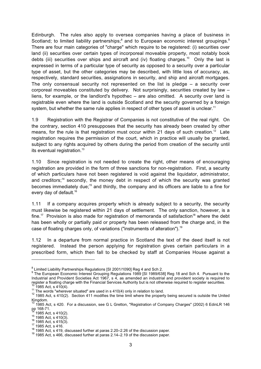Edinburgh. The rules also apply to oversea companies having a place of business in Scotland; to limited liability partnerships;<sup>8</sup> and to European economic interest groupings.<sup>9</sup> There are four main categories of "charge" which require to be registered: (i) securities over land (ii) securities over certain types of incorporeal moveable property, most notably book debts (iii) securities over ships and aircraft and (iv) floating charges.<sup>10</sup> Only the last is expressed in terms of a particular type of security as opposed to a security over a particular type of asset, but the other categories may be described, with little loss of accuracy, as, respectively, standard securities, assignations in security, and ship and aircraft mortgages. The only consensual security not represented on the list is pledge  $-$  a security over corporeal moveables constituted by delivery. Not surprisingly, securities created by law – liens, for example, or the landlord's hypothec – are also omitted. A security over land is registrable even where the land is outside Scotland and the security governed by a foreign system, but whether the same rule applies in respect of other types of asset is unclear.<sup>11</sup>

1.9 Registration with the Registrar of Companies is not constitutive of the real right. On the contrary, section 410 presupposes that the security has already been created by other means, for the rule is that registration must occur within 21 days of such creation.<sup>12</sup> Late registration requires the permission of the court, which in practice will usually be granted, subject to any rights acquired by others during the period from creation of the security until its eventual registration. $13$ 

1.10 Since registration is not needed to create the right, other means of encouraging registration are provided in the form of three sanctions for non-registration. First, a security of which particulars have not been registered is void against the liquidator, administrator, and creditors;<sup>14</sup> secondly, the money debt in respect of which the security was granted becomes immediately due;<sup>15</sup> and thirdly, the company and its officers are liable to a fine for every day of default.<sup>16</sup>

1.11 If a company acquires property which is already subject to a security, the security must likewise be registered within 21 days of settlement. The only sanction, however, is a fine.<sup>17</sup> Provision is also made for registration of memoranda of satisfaction<sup>18</sup> where the debt has been wholly or partially paid or property has been released from the charge and, in the case of floating charges only, of variations ("instruments of alteration").<sup>19</sup>

1.12 In a departure from normal practice in Scotland the text of the deed itself is not registered. Instead the person applying for registration gives certain particulars in a prescribed form, which then fall to be checked by staff at Companies House against a

 $^8$  Limited Liability Partnerships Regulations [SI 2001/1090] Reg 4 and Sch 2.

<sup>9</sup> The European Economic Interest Grouping Regulations 1989 [SI 1989/638] Reg 18 and Sch 4. Pursuant to the Industrial and Provident Societies Act 1967, s 4, as amended an industrial and provident society is required to register a floating charge with the Financial Services Authority but is not otherwise required to register securities. 10 1985 Act, s 410(4).

<sup>&</sup>lt;sup>11</sup> The words "wherever situated" are used in s 410(4) only in relation to land.

 $12$  1985 Act, s 410(2). Section 411 modifies the time limit where the property being secured is outside the United Kingdom.

<sup>&</sup>lt;sup>13</sup> 1985 Act, s 420. For a discussion, see G L Gretton, "Registration of Company Charges" (2002) 6 EdinLR 146 pp 168-71.

 $^{14}_{12}$  1985 Act, s 410(2).

 $^{15}_{12}$  1985 Act, s 410(3).

 $^{16}$  1985 Act, s 415(3).

 $^{17}_{12}$  1985 Act, s 416.

 $\frac{18}{18}$  1985 Act, s 419, discussed further at paras 2.20–2.26 of the discussion paper.

 $19$  1985 Act, s 466, discussed further at paras 2.14–2.19 of the discussion paper.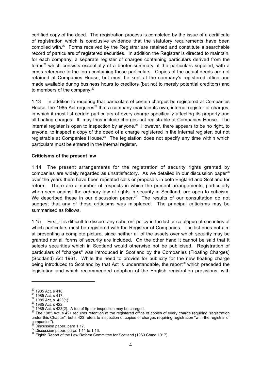certified copy of the deed. The registration process is completed by the issue of a certificate of registration which is conclusive evidence that the statutory requirements have been complied with.20 Forms received by the Registrar are retained and constitute a searchable record of particulars of registered securities. In addition the Registrar is directed to maintain, for each company, a separate register of charges containing particulars derived from the forms<sup>21</sup> which consists essentially of a briefer summary of the particulars supplied, with a cross-reference to the form containing those particulars. Copies of the actual deeds are not retained at Companies House, but must be kept at the company's registered office and made available during business hours to creditors (but not to merely potential creditors) and to members of the company. $22$ 

1.13 In addition to requiring that particulars of certain charges be registered at Companies House, the 1985 Act requires<sup>23</sup> that a company maintain its own, internal register of charges, in which it must list certain particulars of every charge specifically affecting its property and all floating charges. It may thus include charges not registrable at Companies House. The internal register is open to inspection by anyone. $^{24}$  However, there appears to be no right, to anyone, to inspect a copy of the deed of a charge registered in the internal register, but not registrable at Companies House.<sup>25</sup> The legislation does not specify any time within which particulars must be entered in the internal register.

#### **Criticisms of the present law**

1.14 The present arrangements for the registration of security rights granted by companies are widely regarded as unsatisfactory. As we detailed in our discussion paper<sup>26</sup> over the years there have been repeated calls or proposals in both England and Scotland for reform. There are a number of respects in which the present arrangements, particularly when seen against the ordinary law of rights in security in Scotland, are open to criticism. We described these in our discussion paper.<sup>27</sup> The results of our consultation do not suggest that any of those criticisms was misplaced. The principal criticisms may be summarised as follows.

1.15 First, it is difficult to discern any coherent policy in the list or catalogue of securities of which particulars must be registered with the Registrar of Companies. The list does not aim at presenting a complete picture, since neither all of the assets over which security may be granted nor all forms of security are included. On the other hand it cannot be said that it selects securities which in Scotland would otherwise not be publicised. Registration of particulars of "charges" was introduced in Scotland by the Companies (Floating Charges) (Scotland) Act 1961. While the need to provide for publicity for the new floating charge being introduced to Scotland by that Act is understandable, the report<sup>28</sup> which preceded the legislation and which recommended adoption of the English registration provisions, with

<sup>&</sup>lt;sup>20</sup> 1985 Act, s 418.<br><sup>21</sup> 1985 Act, s 417.

 $^{22}$  1985 Act, s 423(1).

<sup>23 1985</sup> Act, s 422.

 $^{24}$  1985 Act, s 423(2). A fee of 5p per inspection may be charged.

 $25$  The 1985 Act, s 421 requires retention at the registered office of copies of every charge requiring "registration under this Chapter", but s 423 refers to inspection of copies of charges requiring registration "with the registrar of companies").

 $^6$  Discussion paper, para 1.17.

 $\frac{27}{2}$  Discussion paper, paras 1.11 to 1.16.

 $^{28}$  Eighth Report of the Law Reform Committee for Scotland (1960 Cmnd 1017).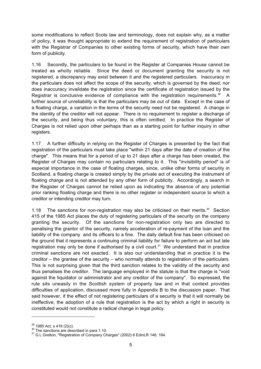some modifications to reflect Scots law and terminology, does not explain why, as a matter of policy, it was thought appropriate to extend the requirement of registration of particulars with the Registrar of Companies to other existing forms of security, which have their own form of publicity.

1.16 Secondly, the particulars to be found in the Register at Companies House cannot be treated as wholly reliable. Since the deed or document granting the security is not registered, a discrepancy may exist between it and the registered particulars. Inaccuracy in the particulars does not affect the scope of the security, which is governed by the deed; nor does inaccuracy invalidate the registration since the certificate of registration issued by the Registrar is conclusive evidence of compliance with the registration requirements.<sup>29</sup> A further source of unreliability is that the particulars may be out of date. Except in the case of a floating charge, a variation in the terms of the security need not be registered. A change in the identity of the creditor will not appear. There is no requirement to register a discharge of the security, and being thus voluntary, this is often omitted. In practice the Register of Charges is not relied upon other perhaps than as a starting point for further inquiry in other registers.

1.17 A further difficulty in relying on the Register of Charges is presented by the fact that registration of the particulars must take place "within 21 days after the date of creation of the charge". This means that for a period of up to 21 days after a charge has been created, the Register of Charges may contain no particulars relating to it. This "invisibility period" is of especial importance in the case of floating charges, since, unlike other forms of security in Scotland, a floating charge is created simply by the private act of executing the instrument of floating charge and is not attended by any other form of publicity. Accordingly, a search in the Register of Charges cannot be relied upon as indicating the absence of any potential prior ranking floating charge and there is no other register or independent source to which a creditor or intending creditor may turn.

1.18 The sanctions for non-registration may also be criticised on their merits. $30$  Section 415 of the 1985 Act places the duty of registering particulars of the security on the company granting the security. Of the sanctions for non-registration only two are directed to penalising the grantor of the security, namely acceleration of re-payment of the loan and the liability of the company and its officers to a fine. The daily default fine has been criticised on the ground that it represents a continuing criminal liability for failure to perform an act but late registration may only be done if authorised by a civil court. $31$  We understand that in practice criminal sanctions are not exacted. It is also our understanding that in practice it is the creditor – the grantee of the security – who normally attends to registration of the particulars. This is not surprising given that the third sanction relates to the validity of the security and thus penalises the creditor. The language employed in the statute is that the charge is "void against the liquidator or administrator and any creditor of the company". So expressed, the rule sits uneasily in the Scottish system of property law and in that context provides difficulties of application, discussed more fully in Appendix B to the discussion paper. That said however, if the effect of not registering particulars of a security is that it will normally be ineffective, the adoption of a rule that registration is the act by which a right in security is constituted would not constitute a radical change in legal policy.

 $^{29}$  1985 Act, s 418 (2)(c).

 $\frac{30}{2}$  The sanctions are described in para 1.10.

 $31$  G L Gretton, "Registration of Company Charges" (2002) 6 EdinLR 146, 164.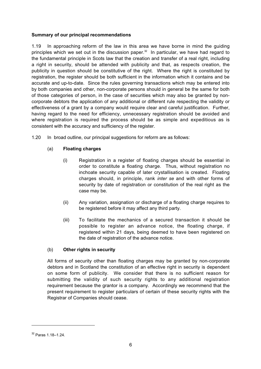#### **Summary of our principal recommendations**

1.19 In approaching reform of the law in this area we have borne in mind the guiding principles which we set out in the discussion paper. $32$  In particular, we have had regard to the fundamental principle in Scots law that the creation and transfer of a real right, including a right in security, should be attended with publicity and that, as respects creation, the publicity in question should be constitutive of the right. Where the right is constituted by registration, the register should be both sufficient in the information which it contains and be accurate and up-to-date. Since the rules governing transactions which may be entered into by both companies and other, non-corporate persons should in general be the same for both of those categories of person, in the case of securities which may also be granted by noncorporate debtors the application of any additional or different rule respecting the validity or effectiveness of a grant by a company would require clear and careful justification. Further, having regard to the need for efficiency, unnecessary registration should be avoided and where registration is required the process should be as simple and expeditious as is consistent with the accuracy and sufficiency of the register.

1.20 In broad outline, our principal suggestions for reform are as follows:

#### (a) **Floating charges**

- (i) Registration in a register of floating charges should be essential in order to constitute a floating charge. Thus, without registration no inchoate security capable of later crystallisation is created. Floating charges should, in principle, rank *inter se* and with other forms of security by date of registration or constitution of the real right as the case may be.
- (ii) Any variation, assignation or discharge of a floating charge requires to be registered before it may affect any third party.
- (iii) To facilitate the mechanics of a secured transaction it should be possible to register an advance notice, the floating charge, if registered within 21 days, being deemed to have been registered on the date of registration of the advance notice.

#### (b) **Other rights in security**

All forms of security other than floating charges may be granted by non-corporate debtors and in Scotland the constitution of an effective right in security is dependent on some form of publicity. We consider that there is no sufficient reason for submitting the validity of such security rights to any additional registration requirement because the grantor is a company. Accordingly we recommend that the present requirement to register particulars of certain of these security rights with the Registrar of Companies should cease.

<sup>32</sup> Paras 1.18–1.24.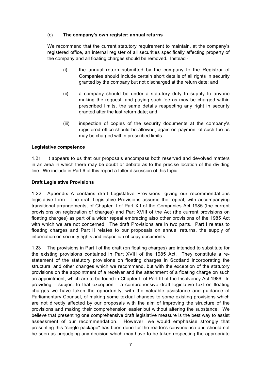#### (c) **The company's own register: annual returns**

We recommend that the current statutory requirement to maintain, at the company's registered office, an internal register of all securities specifically affecting property of the company and all floating charges should be removed. Instead

- (i) the annual return submitted by the company to the Registrar of Companies should include certain short details of all rights in security granted by the company but not discharged at the return date; and
- (ii) a company should be under a statutory duty to supply to anyone making the request, and paying such fee as may be charged within prescribed limits, the same details respecting any right in security granted after the last return date; and
- (iii) inspection of copies of the security documents at the company's registered office should be allowed, again on payment of such fee as may be charged within prescribed limits.

#### **Legislative competence**

1.21 It appears to us that our proposals encompass both reserved and devolved matters in an area in which there may be doubt or debate as to the precise location of the dividing line. We include in Part 6 of this report a fuller discussion of this topic.

#### **Draft Legislative Provisions**

1.22 Appendix A contains draft Legislative Provisions, giving our recommendations legislative form. The draft Legislative Provisions assume the repeal, with accompanying transitional arrangements, of Chapter II of Part XII of the Companies Act 1985 (the current provisions on registration of charges) and Part XVIII of the Act (the current provisions on floating charges) as part of a wider repeal embracing also other provisions of the 1985 Act with which we are not concerned. The draft Provisions are in two parts. Part I relates to floating charges and Part II relates to our proposals on annual returns, the supply of information on security rights and inspection of copy documents.

1.23 The provisions in Part I of the draft (on floating charges) are intended to substitute for the existing provisions contained in Part XVIII of the 1985 Act. They constitute a restatement of the statutory provisions on floating charges in Scotland incorporating the structural and other changes which we recommend, but with the exception of the statutory provisions on the appointment of a receiver and the attachment of a floating charge on such an appointment, which are to be found in Chapter II of Part III of the Insolvency Act 1986. In providing  $-$  subject to that exception  $-$  a comprehensive draft legislative text on floating charges we have taken the opportunity, with the valuable assistance and guidance of Parliamentary Counsel, of making some textual changes to some existing provisions which are not directly affected by our proposals with the aim of improving the structure of the provisions and making their comprehension easier but without altering the substance. We believe that presenting one comprehensive draft legislative measure is the best way to assist assessment of our recommendation. However, we would emphasise strongly that presenting this "single package" has been done for the reader's convenience and should not be seen as prejudging any decision which may have to be taken respecting the appropriate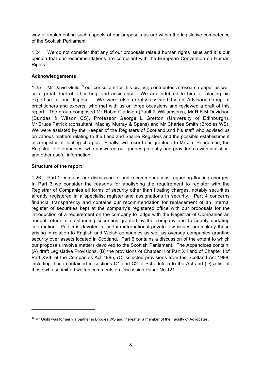way of implementing such aspects of our proposals as are within the legislative competence of the Scottish Parliament.

1.24 We do not consider that any of our proposals raise a human rights issue and it is our opinion that our recommendations are compliant with the European Convention on Human Rights.

#### **Acknowledgements**

1.25 Mr David Guild, $33$  our consultant for this project, contributed a research paper as well as a great deal of other help and assistance. We are indebted to him for placing his expertise at our disposal. We were also greatly assisted by an Advisory Group of practitioners and experts, who met with us on three occasions and reviewed a draft of this report. The group comprised Mr Robin Clarkson (Paull & Williamsons), Mr R E M Davidson (Dundas & Wilson CS), Professor George L Gretton (University of Edinburgh), Mr Bruce Patrick (consultant, Maclay Murray & Spens) and Mr Charles Smith (Brodies WS). We were assisted by the Keeper of the Registers of Scotland and his staff who advised us on various matters relating to the Land and Sasine Registers and the possible establishment of a register of floating charges. Finally, we record our gratitude to Mr Jim Henderson, the Registrar of Companies, who answered our queries patiently and provided us with statistical and other useful information.

#### **Structure of the report**

1.26 Part 2 contains our discussion of and recommendations regarding floating charges. In Part 3 we consider the reasons for abolishing the requirement to register with the Registrar of Companies all forms of security other than floating charges, notably securities already registered in a specialist register and assignations in security. Part 4 concerns financial transparency and contains our recommendation for replacement of an internal register of securities kept at the company's registered office with our proposals for the introduction of a requirement on the company to lodge with the Registrar of Companies an annual return of outstanding securities granted by the company and to supply updating information. Part 5 is devoted to certain international private law issues particularly those arising in relation to English and Welsh companies as well as oversea companies granting security over assets located in Scotland. Part 6 contains a discussion of the extent to which our proposals involve matters devolved to the Scottish Parliament. The Appendices contain: (A) draft Legislative Provisions, (B) the provisions of Chapter II of Part XII and of Chapter I of Part XVIII of the Companies Act 1985, (C) selected provisions from the Scotland Act 1998, including those contained in sections C1 and C2 of Schedule 5 to the Act and (D) a list of those who submitted written comments on Discussion Paper No 121.

 $33$  Mr Guild was formerly a partner in Brodies WS and thereafter a member of the Faculty of Advocates.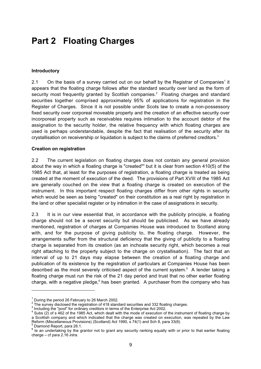### **Part 2 Floating Charges**

#### **Introductory**

2.1 On the basis of a survey carried out on our behalf by the Registrar of Companies<sup>1</sup> it appears that the floating charge follows after the standard security over land as the form of security most frequently granted by Scottish companies.<sup>2</sup> Floating charges and standard securities together comprised approximately 95% of applications for registration in the Register of Charges. Since it is not possible under Scots law to create a non-possessory fixed security over corporeal moveable property and the creation of an effective security over incorporeal property such as receivables requires intimation to the account debtor of the assignation to the security holder, the relative frequency with which floating charges are used is perhaps understandable, despite the fact that realisation of the security after its crystallisation on receivership or liquidation is subject to the claims of preferred creditors.<sup>3</sup>

#### **Creation on registration**

2.2 The current legislation on floating charges does not contain any general provision about the way in which a floating charge is "created"4 but it is clear from section 410(5) of the 1985 Act that, at least for the purposes of registration, a floating charge is treated as being created at the moment of execution of the deed. The provisions of Part XVIII of the 1985 Act are generally couched on the view that a floating charge is created on execution of the instrument. In this important respect floating charges differ from other rights in security which would be seen as being "created" on their constitution as a real right by registration in the land or other specialist register or by intimation in the case of assignations in security.

2.3 It is in our view essential that, in accordance with the publicity principle, a floating charge should not be a secret security but should be publicised. As we have already mentioned, registration of charges at Companies House was introduced to Scotland along with, and for the purpose of giving publicity to, the floating charge. However, the arrangements suffer from the structural deficiency that the giving of publicity to a floating charge is separated from its creation (as an inchoate security right, which becomes a real right attaching to the property subject to the charge on crystallisation). The fact that an interval of up to 21 days may elapse between the creation of a floating charge and publication of its existence by the registration of particulars at Companies House has been described as the most severely criticised aspect of the current system.<sup>5</sup> A lender taking a floating charge must run the risk of the 21 day period and trust that no other earlier floating charge, with a negative pledge, $6$  has been granted. A purchaser from the company who has

Diamond Report, para 26.1.

 $\frac{1}{2}$  During the period 26 February to 26 March 2002.

 $2<sup>2</sup>$  The survey disclosed the registration of 418 standard securities and 332 floating charges.

 $3$  Including the "pool" for ordinary creditors in terms of the Enterprise Act 2002.

 $4$  Subs (2) of s 462 of the 1985 Act, which dealt with the mode of execution of the instrument of floating charge by a Scottish company and which indicated that the charge was created on execution, was repealed by the Law Reform (Miscellaneous Provisions) (Scotland) Act 1990, s 74(1) and Sch 8, para 33(6).<br><sup>5</sup> Diemond Benert, para 26,1.

 $6$  Ie an undertaking by the grantor not to grant any security ranking equally with or prior to that earlier floating charge – cf para 2.16 *intra*.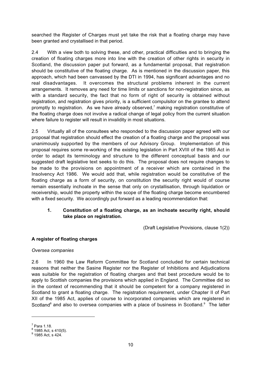searched the Register of Charges must yet take the risk that a floating charge may have been granted and crystallised in that period.

2.4 With a view both to solving these, and other, practical difficulties and to bringing the creation of floating charges more into line with the creation of other rights in security in Scotland, the discussion paper put forward, as a fundamental proposal, that registration should be constitutive of the floating charge. As is mentioned in the discussion paper, this approach, which had been canvassed by the DTI in 1994, has significant advantages and no real disadvantages. It overcomes the structural problems inherent in the current arrangements. It removes any need for time limits or sanctions for non-registration since, as with a standard security, the fact that no form of right of security is obtained without registration, and registration gives priority, is a sufficient compulsitor on the grantee to attend promptly to registration. As we have already observed,<sup>7</sup> making registration constitutive of the floating charge does not involve a radical change of legal policy from the current situation where failure to register will result in invalidity in most situations.

2.5 Virtually all of the consultees who responded to the discussion paper agreed with our proposal that registration should effect the creation of a floating charge and the proposal was unanimously supported by the members of our Advisory Group. Implementation of this proposal requires some re-working of the existing legislation in Part XVIII of the 1985 Act in order to adapt its terminology and structure to the different conceptual basis and our suggested draft legislative text seeks to do this. The proposal does not require changes to be made to the provisions on appointment of a receiver which are contained in the Insolvency Act 1986. We would add that, while registration would be constitutive of the floating charge as a form of security, on constitution the security right would of course remain essentially inchoate in the sense that only on crystallisation, through liquidation or receivership, would the property within the scope of the floating charge become encumbered with a fixed security. We accordingly put forward as a leading recommendation that:

#### **1. Constitution of a floating charge, as an inchoate security right, should take place on registration.**

(Draft Legislative Provisions, clause 1(2))

#### **A register of floating charges**

#### *Oversea companies*

2.6 In 1960 the Law Reform Committee for Scotland concluded for certain technical reasons that neither the Sasine Register nor the Register of Inhibitions and Adjudications was suitable for the registration of floating charges and that best procedure would be to apply to Scottish companies the provisions which applied in England. The Committee did so in the context of recommending that it should be competent for a company registered in Scotland to grant a floating charge. The registration requirement, under Chapter II of Part XII of the 1985 Act, applies of course to incorporated companies which are registered in Scotland<sup>8</sup> and also to oversea companies with a place of business in Scotland.<sup>9</sup> The latter

 $\frac{7}{1}$  Para 1.18.

<sup>&</sup>lt;sup>8</sup> 1985 Act, s 410(5).<br><sup>9</sup> 1985 Act, s 424.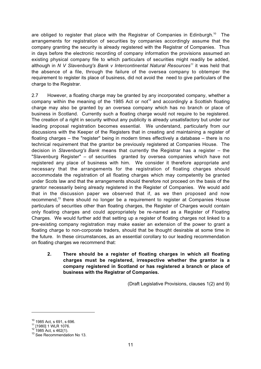are obliged to register that place with the Registrar of Companies in Edinburgh.<sup>10</sup> The arrangements for registration of securities by companies accordingly assume that the company granting the security is already registered with the Registrar of Companies. Thus in days before the electronic recording of company information the provisions assumed an existing physical company file to which particulars of securities might readily be added, although in *N V Slavenburg's Bank v Intercontinental Natural Resources<sup>11</sup> it was held that* the absence of a file, through the failure of the oversea company to obtemper the requirement to register its place of business, did not avoid the need to give particulars of the charge to the Registrar.

2.7 However, a floating charge may be granted by any incorporated company, whether a company within the meaning of the 1985 Act or not<sup>12</sup> and accordingly a Scottish floating charge may also be granted by an oversea company which has no branch or place of business in Scotland. Currently such a floating charge would not require to be registered. The creation of a right in security without any publicity is already unsatisfactory but under our leading proposal registration becomes essential. We understand, particularly from our discussions with the Keeper of the Registers that in creating and maintaining a register of floating charges – the "register" being in modern times effectively a database – there is no technical requirement that the grantor be previously registered at Companies House. The decision in *Slavenburg's Bank* means that currently the Registrar has a register – the "Slavenburg Register" – of securities granted by oversea companies which have not registered any place of business with him. We consider it therefore appropriate and necessary that the arrangements for the registration of floating charges should accommodate the registration of all floating charges which may competently be granted under Scots law and that the arrangements should therefore not proceed on the basis of the grantor necessarily being already registered in the Register of Companies. We would add that in the discussion paper we observed that if, as we then proposed and now recommend,<sup>13</sup> there should no longer be a requirement to register at Companies House particulars of securities other than floating charges, the Register of Charges would contain only floating charges and could appropriately be re-named as a Register of Floating Charges. We would further add that setting up a register of floating charges not linked to a pre-existing company registration may make easier an extension of the power to grant a floating charge to non-corporate traders, should that be thought desirable at some time in the future. In these circumstances, as an essential corollary to our leading recommendation on floating charges we recommend that:

**2. There should be a register of floating charges in which all floating charges must be registered, irrespective whether the grantor is a company registered in Scotland or has registered a branch or place of business with the Registrar of Companies.** 

(Draft Legislative Provisions, clauses 1(2) and 9)

<sup>&</sup>lt;sup>10</sup> 1985 Act, s 691, s 696.<br><sup>11</sup> [1980] 1 WLR 1076.<br><sup>12</sup> 1985 Act, s 462(1).<br><sup>13</sup> See Recommendation No 13.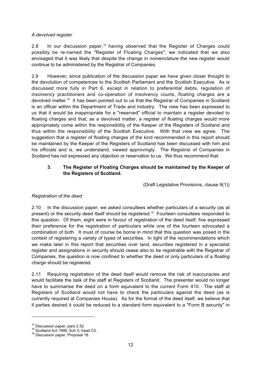#### *A devolved register*

2.8 In our discussion paper,<sup>14</sup> having observed that the Register of Charges could possibly be re-named the "Register of Floating Charges", we indicated that we also envisaged that it was likely that despite the change in nomenclature the new register would continue to be administered by the Registrar of Companies.

2.9 However, since publication of the discussion paper we have given closer thought to the devolution of competences to the Scottish Parliament and the Scottish Executive. As is discussed more fully in Part 6, except in relation to preferential debts, regulation of insolvency practitioners and co-operation of insolvency courts, floating charges are a devolved matter.<sup>15</sup> It has been pointed out to us that the Registrar of Companies in Scotland is an officer within the Department of Trade and Industry. The view has been expressed to us that it would be inappropriate for a "reserved" official to maintain a register devoted to floating charges and that, as a devolved matter, a register of floating charges would more appropriately come within the responsibility of the Keeper of the Registers of Scotland and thus within the responsibility of the Scottish Executive. With that view we agree. The suggestion that a register of floating charges of the kind recommended in this report should be maintained by the Keeper of the Registers of Scotland has been discussed with him and his officials and is, we understand, viewed approvingly. The Registrar of Companies in Scotland has not expressed any objection or reservation to us. We thus recommend that:

#### **3. The Register of Floating Charges should be maintained by the Keeper of the Registers of Scotland.**

(Draft Legislative Provisions, clause 9(1))

#### *Registration of the deed*

2.10 In the discussion paper, we asked consultees whether particulars of a security (as at present) or the security deed itself should be registered.<sup>16</sup> Fourteen consultees responded to this question. Of them, eight were in favour of registration of the deed itself; five expressed their preference for the registration of particulars while one of the fourteen advocated a combination of both. It must of course be borne in mind that this question was posed in the context of registering a variety of types of securities. In light of the recommendations which we make later in this report that securities over land, securities registered in a specialist register and assignations in security should cease also to be registrable with the Registrar of Companies, the question is now confined to whether the deed or only particulars of a *floating charge* should be registered.

2.11 Requiring registration of the deed itself would remove the risk of inaccuracies and would facilitate the task of the staff at Registers of Scotland. The presenter would no longer have to summarise the deed on a form equivalent to the current Form 410. The staff at Registers of Scotland would not have to check the particulars against the deed (as is currently required at Companies House). As for the format of the deed itself, we believe that if parties desired it could be reduced to a standard form equivalent to a "Form B security" in

<sup>&</sup>lt;sup>14</sup> Discussion paper, para 2.52.<br><sup>15</sup> Scotland Act 1998, Sch 5, head C2.<br><sup>16</sup> Discussion paper, Proposal 18.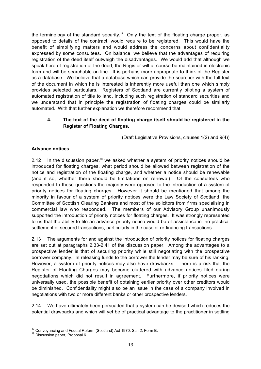the terminology of the standard security.<sup>17</sup> Only the text of the floating charge proper, as opposed to details of the contract, would require to be registered. This would have the benefit of simplifying matters and would address the concerns about confidentiality expressed by some consultees. On balance, we believe that the advantages of requiring registration of the deed itself outweigh the disadvantages. We would add that although we speak here of registration of the deed, the Register will of course be maintained in electronic form and will be searchable on-line. It is perhaps more appropriate to think of the Register as a database. We believe that a database which can provide the searcher with the full text of the document in which he is interested is inherently more useful than one which simply provides selected particulars. Registers of Scotland are currently piloting a system of automated registration of title to land, including such registration of standard securities and we understand that in principle the registration of floating charges could be similarly automated. With that further explanation we therefore recommend that:

#### **4. The text of the deed of floating charge itself should be registered in the Register of Floating Charges.**

(Draft Legislative Provisions, clauses 1(2) and 9(4))

#### **Advance notices**

2.12 In the discussion paper,<sup>18</sup> we asked whether a system of priority notices should be introduced for floating charges, what period should be allowed between registration of the notice and registration of the floating charge, and whether a notice should be renewable (and if so, whether there should be limitations on renewal). Of the consultees who responded to these questions the majority were opposed to the introduction of a system of priority notices for floating charges. However it should be mentioned that among the minority in favour of a system of priority notices were the Law Society of Scotland, the Committee of Scottish Clearing Bankers and most of the solicitors from firms specialising in commercial law who responded. The members of our Advisory Group unanimously supported the introduction of priority notices for floating charges. It was strongly represented to us that the ability to file an advance priority notice would be of assistance in the practical settlement of secured transactions, particularly in the case of re-financing transactions.

2.13 The arguments for and against the introduction of priority notices for floating charges are set out at paragraphs 2.33-2.41 of the discussion paper. Among the advantages to a prospective lender is that of securing priority while still negotiating with the prospective borrower company. In releasing funds to the borrower the lender may be sure of his ranking. However, a system of priority notices may also have drawbacks. There is a risk that the Register of Floating Charges may become cluttered with advance notices filed during negotiations which did not result in agreement. Furthermore, if priority notices were universally used, the possible benefit of obtaining earlier priority over other creditors would be diminished. Confidentiality might also be an issue in the case of a company involved in negotiations with two or more different banks or other prospective lenders.

2.14 We have ultimately been persuaded that a system can be devised which reduces the potential drawbacks and which will yet be of practical advantage to the practitioner in settling

<sup>&</sup>lt;sup>17</sup> Conveyancing and Feudal Reform (Scotland) Act 1970: Sch 2, Form B.  $18$  Discussion paper, Proposal 6.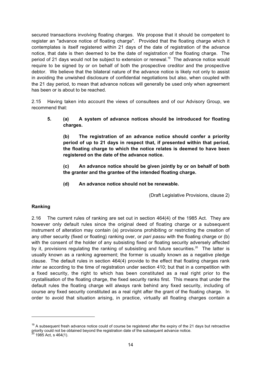secured transactions involving floating charges. We propose that it should be competent to register an "advance notice of floating charge". Provided that the floating charge which it contemplates is itself registered within 21 days of the date of registration of the advance notice, that date is then deemed to be the date of registration of the floating charge. The period of 21 days would not be subject to extension or renewal.<sup>19</sup> The advance notice would require to be signed by or on behalf of both the prospective creditor and the prospective debtor. We believe that the bilateral nature of the advance notice is likely not only to assist in avoiding the unwished disclosure of confidential negotiations but also, when coupled with the 21 day period, to mean that advance notices will generally be used only when agreement has been or is about to be reached.

2.15 Having taken into account the views of consultees and of our Advisory Group, we recommend that:

**5. (a) A system of advance notices should be introduced for floating charges.** 

**(b) The registration of an advance notice should confer a priority period of up to 21 days in respect that, if presented within that period, the floating charge to which the notice relates is deemed to have been registered on the date of the advance notice.** 

**(c) An advance notice should be given jointly by or on behalf of both the granter and the grantee of the intended floating charge.** 

**(d) An advance notice should not be renewable.** 

(Draft Legislative Provisions, clause 2)

#### **Ranking**

2.16 The current rules of ranking are set out in section 464(4) of the 1985 Act. They are however only default rules since the original deed of floating charge or a subsequent instrument of alteration may contain (a) provisions prohibiting or restricting the creation of any other security (fixed or floating) ranking over, or *pari passu* with the floating charge or (b) with the consent of the holder of any subsisting fixed or floating security adversely affected by it, provisions regulating the ranking of subsisting and future securities.<sup>20</sup> The latter is usually known as a ranking agreement; the former is usually known as a negative pledge clause. The default rules in section 464(4) provide to the effect that floating charges rank *inter se* according to the time of registration under section 410; but that in a competition with a fixed security, the right to which has been constituted as a real right prior to the crystallisation of the floating charge, the fixed security ranks first. This means that under the default rules the floating charge will always rank behind any fixed security, including of course any fixed security constituted as a real right after the grant of the floating charge. In order to avoid that situation arising, in practice, virtually all floating charges contain a

 $19$  A subsequent fresh advance notice could of course be registered after the expiry of the 21 days but retroactive priority could not be obtained beyond the registration date of the subsequent advance notice.

 $^{20}$  1985 Act, s 464(1).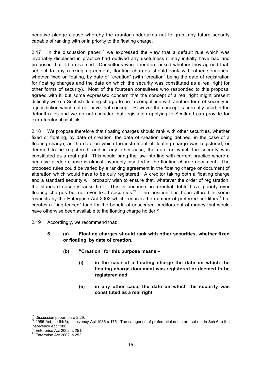negative pledge clause whereby the grantor undertakes not to grant any future security capable of ranking with or in priority to the floating charge.

2.17 In the discussion paper, $21$  we expressed the view that a default rule which was invariably displaced in practice had outlived any usefulness it may initially have had and proposed that it be reversed. Consultees were therefore asked whether they agreed that, subject to any ranking agreement, floating charges should rank with other securities, whether fixed or floating, by date of "creation" (with "creation" being the date of registration for floating charges and the date on which the security was constituted as a real right for other forms of security). Most of the fourteen consultees who responded to this proposal agreed with it: but some expressed concern that the concept of a real right might present difficulty were a Scottish floating charge to be in competition with another form of security in a jurisdiction which did not have that concept. However the concept is currently used in the default rules and we do not consider that legislation applying to Scotland can provide for extra-territorial conflicts.

2.18 We propose therefore that floating charges should rank with other securities, whether fixed or floating, by date of creation, the date of creation being defined, in the case of a floating charge, as the date on which the instrument of floating charge was registered, or deemed to be registered, and in any other case, the date on which the security was constituted as a real right. This would bring the law into line with current practice where a negative pledge clause is almost invariably inserted in the floating charge document. The proposed rules could be varied by a ranking agreement in the floating charge or document of alteration which would have to be duly registered. A creditor taking both a floating charge and a standard security will probably wish to ensure that, whatever the order of registration, the standard security ranks first. This is because preferential debts have priority over floating charges but not over fixed securities.<sup>22</sup> The position has been altered in some respects by the Enterprise Act 2002 which reduces the number of preferred creditors $^{23}$  but creates a "ring-fenced" fund for the benefit of unsecured creditors out of money that would have otherwise been available to the floating charge holder. $^{24}$ 

- 2.19 Accordingly, we recommend that:
	- **6. (a) Floating charges should rank with other securities, whether fixed or floating, by date of creation.** 
		- **(b) "Creation" for this purpose means** 
			- **(i) in the case of a floating charge the date on which the floating charge document was registered or deemed to be registered and**
			- **(ii) in any other case, the date on which the security was constituted as a real right.**

<sup>&</sup>lt;sup>21</sup> Discussion paper, para 2.29.

 $^{22}$  1985 Act, s 464(6); Insolvency Act 1986 s 175. The categories of preferential debts are set out in Sch 6 to the Insolvency Act 1986.

 $^{23}_{\odot}$  Enterprise Act 2002, s 251.

 $24$  Enterprise Act 2002, s 252.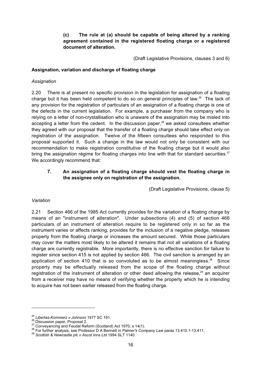**(c) The rule at (a) should be capable of being altered by a ranking agreement contained in the registered floating charge or a registered document of alteration.** 

(Draft Legislative Provisions, clauses 3 and 6)

#### **Assignation, variation and discharge of floating charge**

#### *Assignation*

2.20 There is at present no specific provision in the legislation for assignation of a floating charge but it has been held competent to do so on general principles of law.<sup>25</sup> The lack of any provision for the registration of particulars of an assignation of a floating charge is one of the defects in the current legislation. For example, a purchaser from the company who is relying on a letter of non-crystallisation who is unaware of the assignation may be misled into accepting a letter from the cedent. In the discussion paper, $26$  we asked consultees whether they agreed with our proposal that the transfer of a floating charge should take effect only on registration of the assignation. Twelve of the fifteen consultees who responded to this proposal supported it. Such a change in the law would not only be consistent with our recommendation to make registration constitutive of the floating charge but it would also bring the assignation régime for floating charges into line with that for standard securities.<sup>27</sup> We accordingly recommend that:

#### **7. An assignation of a floating charge should vest the floating charge in the assignee only on registration of the assignation.**

(Draft Legislative Provisions, clause 5)

#### *Variation*

2.21 Section 466 of the 1985 Act currently provides for the variation of a floating charge by means of an "instrument of alteration". Under subsections (4) and (5) of section 466 particulars of an instrument of alteration require to be registered only in so far as the instrument varies or affects ranking, provides for the inclusion of a negative pledge, releases property from the floating charge or increases the amount secured. While those particulars may cover the matters most likely to be altered it remains that not all variations of a floating charge are currently registrable. More importantly, there is no effective sanction for failure to register since section 415 is not applied by section 466. The civil sanction is arranged by an application of section 410 that is so convoluted as to be almost meaningless. $28$  Since property may be effectually released from the scope of the floating charge without registration of the instrument of alteration or other deed allowing the release, $^{29}$  an acquirer from a receiver may have no means of verifying whether the property which he is intending to acquire has not been earlier released from the floating charge.

<sup>25</sup>*Libertas-Kommerz v Johnson* 1977 SC 191.

 $\frac{26}{27}$  Discussion paper, Proposal 2.<br> $\frac{27}{27}$  Conveyancing and Feudal Reform (Scotland) Act 1970, s 14(1).

<sup>28</sup> For further analysis, see Professor D A Bennett in *Palmer's Company Law* paras 13.410.1-13.411.

<sup>29</sup>*Scottish & Newcastle plc v Ascot Inns Ltd* 1994 SLT 1140.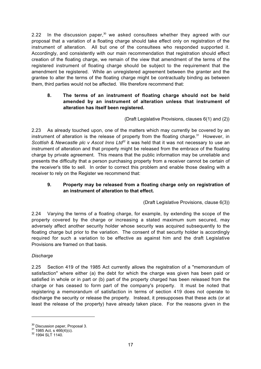2.22 In the discussion paper, $30$  we asked consultees whether they agreed with our proposal that a variation of a floating charge should take effect only on registration of the instrument of alteration. All but one of the consultees who responded supported it. Accordingly, and consistently with our main recommendation that registration should effect creation of the floating charge, we remain of the view that amendment of the terms of the registered instrument of floating charge should be subject to the requirement that the amendment be registered. While an unregistered agreement between the granter and the grantee to alter the terms of the floating charge might be contractually binding as between them, third parties would not be affected. We therefore recommend that:

#### **8. The terms of an instrument of floating charge should not be held amended by an instrument of alteration unless that instrument of alteration has itself been registered.**

#### (Draft Legislative Provisions, clauses 6(1) and (2))

2.23 As already touched upon, one of the matters which may currently be covered by an instrument of alteration is the release of property from the floating charge.<sup>31</sup> However, in *Scottish & Newcastle plc v Ascot Inns Ltd*<sup>32</sup> it was held that it was not necessary to use an instrument of alteration and that property might be released from the embrace of the floating charge by private agreement. This means that the public information may be unreliable and presents the difficulty that a person purchasing property from a receiver cannot be certain of the receiver's title to sell. In order to correct this problem and enable those dealing with a receiver to rely on the Register we recommend that:

#### **9. Property may be released from a floating charge only on registration of an instrument of alteration to that effect.**

#### (Draft Legislative Provisions, clause 6(3))

2.24 Varying the terms of a floating charge, for example, by extending the scope of the property covered by the charge or increasing a stated maximum sum secured, may adversely affect another security holder whose security was acquired subsequently to the floating charge but prior to the variation. The consent of that security holder is accordingly required for such a variation to be effective as against him and the draft Legislative Provisions are framed on that basis.

#### *Discharge*

2.25 Section 419 of the 1985 Act currently allows the registration of a "memorandum of satisfaction" where either (a) the debt for which the charge was given has been paid or satisfied in whole or in part or (b) part of the property charged has been released from the charge or has ceased to form part of the company's property. It must be noted that registering a memorandum of satisfaction in terms of section 419 does not operate to discharge the security or release the property. Instead, it presupposes that these acts (or at least the release of the property) have already taken place. For the reasons given in the

<sup>&</sup>lt;sup>30</sup> Discussion paper, Proposal 3.<br><sup>31</sup> 1985 Act, s 466(4)(c).<br><sup>32</sup> 1994 SLT 1140.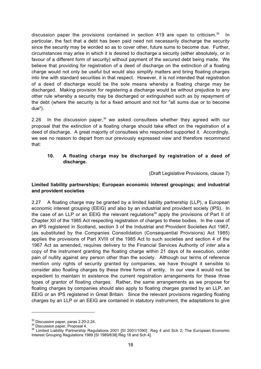discussion paper the provisions contained in section 419 are open to criticism. $33$  In particular, the fact that a debt has been paid need not necessarily discharge the security since the security may be worded so as to cover other, future sums to become due. Further, circumstances may arise in which it is desired to discharge a security (either absolutely, or in favour of a different form of security) without payment of the secured debt being made. We believe that providing for registration of a deed of discharge on the extinction of a floating charge would not only be useful but would also simplify matters and bring floating charges into line with standard securities in that respect. However, it is not intended that registration of a deed of discharge would be the sole means whereby a floating charge may be discharged. Making provision for registering a discharge would be without prejudice to any other rule whereby a security may be discharged or extinguished such as by repayment of the debt (where the security is for a fixed amount and not for "all sums due or to become due").

2.26 In the discussion paper, $34$  we asked consultees whether they agreed with our proposal that the extinction of a floating charge should take effect on the registration of a deed of discharge. A great majority of consultees who responded supported it. Accordingly, we see no reason to depart from our previously expressed view and therefore recommend that:

#### **10. A floating charge may be discharged by registration of a deed of discharge.**

(Draft Legislative Provisions, clause 7)

#### **Limited liability partnerships; European economic interest groupings; and industrial and provident societies**

2.27 A floating charge may be granted by a limited liability partnership (LLP), a European economic interest grouping (EEIG) and also by an industrial and provident society (IPS). In the case of an LLP or an EEIG the relevant regulations<sup>35</sup> apply the provisions of Part II of Chapter XII of the 1985 Act respecting registration of charges to these bodies. In the case of an IPS registered in Scotland, section 3 of the Industrial and Provident Societies Act 1967, (as substituted by the Companies Consolidation (Consequential Provisions) Act 1985) applies the provisions of Part XVIII of the 1985 Act to such societies and section 4 of the 1967 Act as amended, requires delivery to the Financial Services Authority of *inter alia* a copy of the instrument granting the floating charge within 21 days of its execution, under pain of nullity against any person other than the society. Although our terms of reference mention only rights of security granted by companies, we have thought it sensible to consider also floating charges by these three forms of entity. In our view it would not be expedient to maintain in existence the current registration arrangements for these three types of grantor of floating charges. Rather, the same arrangements as we propose for floating charges by companies should also apply to floating charges granted by an LLP, an EEIG or an IPS registered in Great Britain. Since the relevant provisions regarding floating charges by an LLP or an EEIG are contained in statutory instrument, the adaptations to give

 $\frac{33}{24}$  Discussion paper, paras 2.20-2.24.<br> $\frac{34}{24}$  Discussion paper, Proposal 4.

 $35$  Limited Liability Partnership Regulations 2001 [SI 2001/1090] Reg 4 and Sch 2; The European Economic Interest Grouping Regulations 1989 [SI 1989/638] Reg 18 and Sch 4].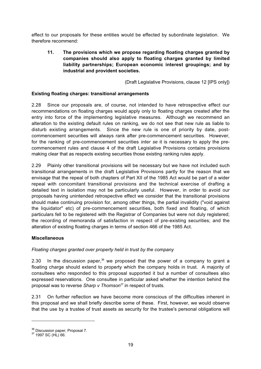effect to our proposals for these entities would be effected by subordinate legislation. We therefore recommend:

**11. The provisions which we propose regarding floating charges granted by companies should also apply to floating charges granted by limited liability partnerships; European economic interest groupings; and by industrial and provident societies.** 

(Draft Legislative Provisions, clause 12 [IPS only])

#### **Existing floating charges: transitional arrangements**

2.28 Since our proposals are, of course, not intended to have retrospective effect our recommendations on floating charges would apply only to floating charges created after the entry into force of the implementing legislative measures. Although we recommend an alteration to the existing default rules on ranking, we do not see that new rule as liable to disturb existing arrangements. Since the new rule is one of priority by date, postcommencement securities will always rank after pre-commencement securities. However, for the ranking of pre-commencement securities *inter se* it is necessary to apply the precommencement rules and clause 4 of the draft Legislative Provisions contains provisions making clear that as respects existing securities those existing ranking rules apply.

2.29 Plainly other transitional provisions will be necessary but we have not included such transitional arrangements in the draft Legislative Provisions partly for the reason that we envisage that the repeal of both chapters of Part XII of the 1985 Act would be part of a wider repeal with concomitant transitional provisions and the technical exercise of drafting a detailed text in isolation may not be particularly useful. However, in order to avoid our proposals having unintended retrospective effect we consider that the transitional provisions should make continuing provision for, among other things, the partial invalidity ("void against the liquidator" etc) of pre-commencement securities, both fixed and floating, of which particulars fell to be registered with the Registrar of Companies but were not duly registered; the recording of memoranda of satisfaction in respect of pre-existing securities; and the alteration of existing floating charges in terms of section 466 of the 1985 Act.

#### **Miscellaneous**

#### *Floating charges granted over property held in trust by the company*

2.30 In the discussion paper, $36$  we proposed that the power of a company to grant a floating charge should extend to property which the company holds in trust. A majority of consultees who responded to this proposal supported it but a number of consultees also expressed reservations. One consultee in particular asked whether the intention behind the proposal was to reverse *Sharp v Thomson*<sup>37</sup> in respect of trusts.

2.31 On further reflection we have become more conscious of the difficulties inherent in this proposal and we shall briefly describe some of these. First, however, we would observe that the use by a trustee of trust assets as security for the trustee's personal obligations will

 $\frac{36}{37}$  Discussion paper, Proposal 7.<br> $\frac{37}{37}$  1997 SC (HL) 66.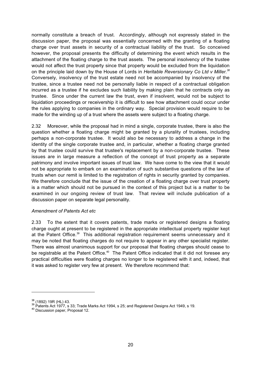normally constitute a breach of trust. Accordingly, although not expressly stated in the discussion paper, the proposal was essentially concerned with the granting of a floating charge over trust assets in security of a contractual liability of the trust. So conceived however, the proposal presents the difficulty of determining the event which results in the attachment of the floating charge to the trust assets. The personal insolvency of the trustee would not affect the trust property since that property would be excluded from the liquidation on the principle laid down by the House of Lords in *Heritable Reversionary Co Ltd v Miller.38*  Conversely, insolvency of the trust estate need not be accompanied by insolvency of the trustee, since a trustee need not be personally liable in respect of a contractual obligation incurred as a trustee if he excludes such liability by making plain that he contracts only as trustee. Since under the current law the trust, even if insolvent, would not be subject to liquidation proceedings or receivership it is difficult to see how attachment could occur under the rules applying to companies in the ordinary way. Special provision would require to be made for the winding up of a trust where the assets were subject to a floating charge.

2.32 Moreover, while the proposal had in mind a single, corporate trustee, there is also the question whether a floating charge might be granted by a plurality of trustees, including perhaps a non-corporate trustee. It would also be necessary to address a change in the identity of the single corporate trustee and, in particular, whether a floating charge granted by that trustee could survive that trustee's replacement by a non-corporate trustee. These issues are in large measure a reflection of the concept of trust property as a separate patrimony and involve important issues of trust law. We have come to the view that it would not be appropriate to embark on an examination of such substantive questions of the law of trusts when our remit is limited to the registration of rights in security granted by companies. We therefore conclude that the issue of the creation of a floating charge over trust property is a matter which should not be pursued in the context of this project but is a matter to be examined in our ongoing review of trust law. That review will include publication of a discussion paper on separate legal personality.

#### *Amendment of Patents Act etc*

2.33 To the extent that it covers patents, trade marks or registered designs a floating charge ought at present to be registered in the appropriate intellectual property register kept at the Patent Office.<sup>39</sup> This additional registration requirement seems unnecessary and it may be noted that floating charges do not require to appear in any other specialist register. There was almost unanimous support for our proposal that floating charges should cease to be registrable at the Patent Office.<sup>40</sup> The Patent Office indicated that it did not foresee any practical difficulties were floating charges no longer to be registered with it and, indeed, that it was asked to register very few at present. We therefore recommend that:

 $\frac{38}{28}$  (1892) 19R (HL) 43.<br> $\frac{39}{2}$  Patents Act 1977, s 33; Trade Marks Act 1994, s 25; and Registered Designs Act 1949, s 19.

<sup>&</sup>lt;sup>40</sup> Discussion paper, Proposal 12.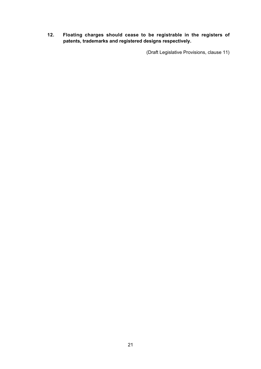**12. Floating charges should cease to be registrable in the registers of patents, trademarks and registered designs respectively.** 

(Draft Legislative Provisions, clause 11)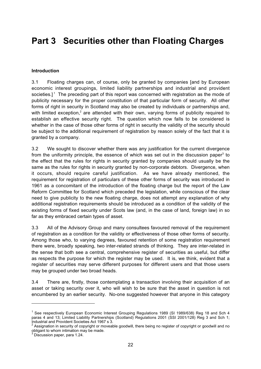### **Part 3 Securities other than Floating Charges**

#### **Introduction**

3.1 Floating charges can, of course, only be granted by companies [and by European economic interest groupings, limited liability partnerships and industrial and provident societies.<sup>1</sup> The preceding part of this report was concerned with registration as the mode of publicity necessary for the proper constitution of that particular form of security. All other forms of right in security in Scotland may also be created by individuals or partnerships and, with limited exception, $2$  are attended with their own, varying forms of publicity required to establish an effective security right. The question which now falls to be considered is whether in the case of those other forms of right in security the validity of the security should be subject to the additional requirement of registration by reason solely of the fact that it is granted by a company.

3.2 We sought to discover whether there was any justification for the current divergence from the uniformity principle, the essence of which was set out in the discussion paper<sup>3</sup> to the effect that the rules for rights in security granted by companies should usually be the same as the rules for rights in security granted by non-corporate debtors. Divergence, when it occurs, should require careful justification. As we have already mentioned, the requirement for registration of particulars of these other forms of security was introduced in 1961 as a concomitant of the introduction of the floating charge but the report of the Law Reform Committee for Scotland which preceded the legislation, while conscious of the clear need to give publicity to the new floating charge, does not attempt any explanation of why additional registration requirements should be introduced as a condition of the validity of the existing forms of fixed security under Scots law (and, in the case of land, foreign law) in so far as they embraced certain types of asset.

3.3 All of the Advisory Group and many consultees favoured removal of the requirement of registration as a condition for the validity or effectiveness of those other forms of security. Among those who, to varying degrees, favoured retention of some registration requirement there were, broadly speaking, two inter-related strands of thinking. They are inter-related in the sense that both see a central, comprehensive register of securities as useful, but differ as respects the purpose for which the register may be used. It is, we think, evident that a register of securities may serve different purposes for different users and that those users may be grouped under two broad heads.

3.4 There are, firstly, those contemplating a transaction involving their acquisition of an asset or taking security over it, who will wish to be sure that the asset in question is not encumbered by an earlier security. No-one suggested however that anyone in this category

<sup>&</sup>lt;sup>1</sup> See respectively European Economic Interest Grouping Regulations 1989 (SI 1989/638) Reg 18 and Sch 4 paras 4 and 13; Limited Liability Partnerships (Scotland) Regulations 2001 (SSI 2001/128) Reg 3 and Sch 1; Industrial and Provident Societies Act 1967 s 3.

 $^2$  Assignation in security of copyright or moveable goodwill, there being no register of copyright or goodwill and no obligant to whom intimation may be made.<br><sup>3</sup> Discussion paper, pare 1.24

Discussion paper, para 1.24.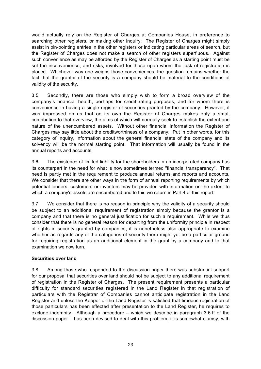would actually rely on the Register of Charges at Companies House, in preference to searching other registers, or making other inquiry. The Register of Charges might simply assist in pin-pointing entries in the other registers or indicating particular areas of search, but the Register of Charges does not make a search of other registers superfluous. Against such convenience as may be afforded by the Register of Charges as a starting point must be set the inconvenience, and risks, involved for those upon whom the task of registration is placed. Whichever way one weighs those conveniences, the question remains whether the fact that the grantor of the security is a company should be material to the conditions of validity of the security.

3.5 Secondly, there are those who simply wish to form a broad overview of the company's financial health, perhaps for credit rating purposes, and for whom there is convenience in having a single register of securities granted by the company. However, it was impressed on us that on its own the Register of Charges makes only a small contribution to that overview, the aims of which will normally seek to establish the extent and nature of the unencumbered assets. Without other financial information the Register of Charges may say little about the creditworthiness of a company. Put in other words, for this category of inquiry, information about the general financial state of the company and its solvency will be the normal starting point. That information will usually be found in the annual reports and accounts.

3.6 The existence of limited liability for the shareholders in an incorporated company has its counterpart in the need for what is now sometimes termed "financial transparency". That need is partly met in the requirement to produce annual returns and reports and accounts. We consider that there are other ways in the form of annual reporting requirements by which potential lenders, customers or investors may be provided with information on the extent to which a company's assets are encumbered and to this we return in Part 4 of this report.

3.7 We consider that there is no reason in principle why the validity of a security should be subject to an additional requirement of registration simply because the grantor is a company and that there is no general justification for such a requirement. While we thus consider that there is no general reason for departing from the uniformity principle in respect of rights in security granted by companies, it is nonetheless also appropriate to examine whether as regards any of the categories of security there might yet be a particular ground for requiring registration as an additional element in the grant by a company and to that examination we now turn.

#### **Securities over land**

3.8 Among those who responded to the discussion paper there was substantial support for our proposal that securities over land should not be subject to any additional requirement of registration in the Register of Charges. The present requirement presents a particular difficulty for standard securities registered in the Land Register in that registration of particulars with the Registrar of Companies cannot anticipate registration in the Land Register and unless the Keeper of the Land Register is satisfied that timeous registration of those particulars has been effected after presentation to the Land Register, he requires to exclude indemnity. Although a procedure – which we describe in paragraph 3.6 ff of the discussion paper – has been devised to deal with this problem, it is somewhat clumsy, with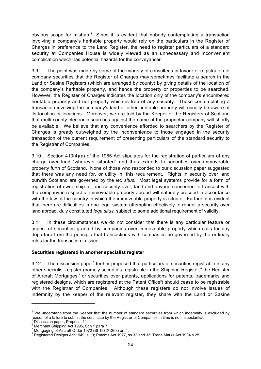obvious scope for mishap.4 Since it is evident that nobody contemplating a transaction involving a company's heritable property would rely on the particulars in the Register of Charges in preference to the Land Register, the need to register particulars of a standard security at Companies House is widely viewed as an unnecessary and inconvenient complication which has potential hazards for the conveyancer.

3.9 The point was made by some of the minority of consultees in favour of registration of company securities that the Register of Charges may sometimes facilitate a search in the Land or Sasine Registers (which are arranged by county) by giving details of the location of the company's heritable property, and hence the property or properties to be searched. However, the Register of Charges indicates the location only of the company's encumbered heritable property and not property which is free of any security. Those contemplating a transaction involving the company's land or other heritable property will usually be aware of its location or locations. Moreover, we are told by the Keeper of the Registers of Scotland that multi-county electronic searches against the name of the proprietor company will shortly be available. We believe that any convenience afforded to searchers by the Register of Charges is greatly outweighed by the inconvenience to those engaged in the security transaction of the current requirement of presenting particulars of the standard security to the Registrar of Companies.

3.10 Section 410(4)(a) of the 1985 Act stipulates for the registration of particulars of any charge over land "wherever situated" and thus extends to securities over immoveable property furth of Scotland. None of those who responded to our discussion paper suggested that there was any need for, or utility in, this requirement. Rights in security over land outwith Scotland are governed by the *lex situs*. Most legal systems provide for a form of registration of ownership of, and security over, land and anyone concerned to transact with the company in respect of immoveable property abroad will naturally proceed in accordance with the law of the country in which the immoveable property is situate. Further, it is evident that there are difficulties in one legal system attempting effectively to render a security over land abroad, duly constituted *lege situs*, subject to some additional requirement of validity.

3.11 In these circumstances we do not consider that there is any particular feature or aspect of securities granted by companies over immoveable property which calls for any departure from the principle that transactions with companies be governed by the ordinary rules for the transaction in issue.

#### **Securities registered in another specialist register**

3.12 The discussion paper<sup>5</sup> further proposed that particulars of securities registrable in any other specialist register (namely securities registrable in the Shipping Register,<sup>6</sup> the Register of Aircraft Mortgages,<sup>7</sup> or securities over patents, applications for patents, trademarks and registered designs, which are registered at the Patent Office<sup>8</sup>) should cease to be registrable with the Registrar of Companies. Although these registers do not involve issues of indemnity by the keeper of the relevant register, they share with the Land or Sasine

 $4$  We understand from the Keeper that the number of standard securities from which indemnity is excluded by reason of a failure to submit the certificate by the Registrar of Companies in time is not insubstantial.<br>5 Disquesian noner, Proposel 11

Discussion paper, Proposal 11.

 $<sup>6</sup>$  Merchant Shipping Act 1995, Sch 1 para 7.</sup>

 $\frac{7}{4}$  Mortgaging of Aircraft Order 1972 (SI 1972/1268) art 4.

 $^8$  Registered Designs Act 1949, s 19; Patents Act 1977, ss 32 and 33; Trade Marks Act 1994 s 25.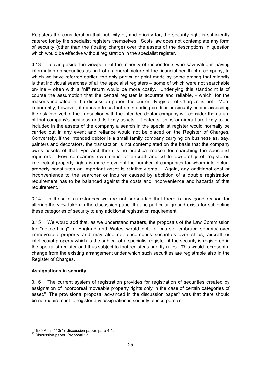Registers the consideration that publicity of, and priority for, the security right is sufficiently catered for by the specialist registers themselves. Scots law does not contemplate any form of security (other than the floating charge) over the assets of the descriptions in question which would be effective without registration in the specialist register.

3.13 Leaving aside the viewpoint of the minority of respondents who saw value in having information on securities as part of a general picture of the financial health of a company, to which we have referred earlier, the only particular point made by some among that minority is that individual searches of all the specialist registers – some of which were not searchable on-line – often with a "nil" return would be more costly. Underlying this standpoint is of course the assumption that the central register is accurate and reliable, - which, for the reasons indicated in the discussion paper, the current Register of Charges is not. More importantly, however, it appears to us that an intending creditor or security holder assessing the risk involved in the transaction with the intended debtor company will consider the nature of that company's business and its likely assets. If patents, ships or aircraft are likely to be included in the assets of the company a search in the specialist register would normally be carried out in any event and reliance would not be placed on the Register of Charges. Conversely, if the intended debtor is a small family company carrying on business as, say, painters and decorators, the transaction is not contemplated on the basis that the company owns assets of that type and there is no practical reason for searching the specialist registers. Few companies own ships or aircraft and while ownership of registered intellectual property rights is more prevalent the number of companies for whom intellectual property constitutes an important asset is relatively small. Again, any additional cost or inconvenience to the searcher or inquirer caused by abolition of a double registration requirement has to be balanced against the costs and inconvenience and hazards of that requirement.

3.14 In these circumstances we are not persuaded that there is any good reason for altering the view taken in the discussion paper that no particular ground exists for subjecting these categories of security to any additional registration requirement.

3.15 We would add that, as we understand matters, the proposals of the Law Commission for "notice-filing" in England and Wales would not, of course, embrace security over immoveable property and may also not encompass securities over ships, aircraft or intellectual property which is the subject of a specialist register, if the security is registered in the specialist register and thus subject to that register's priority rules. This would represent a change from the existing arrangement under which such securities are registrable also in the Register of Charges.

#### **Assignations in security**

3.16 The current system of registration provides for registration of securities created by assignation of incorporeal moveable property rights only in the case of certain categories of asset. $9$  The provisional proposal advanced in the discussion paper<sup>10</sup> was that there should be no requirement to register any assignation in security of incorporeals.

<sup>&</sup>lt;sup>9</sup> 1985 Act s 410(4); discussion paper, para 4.1.<br><sup>10</sup> Discussion paper, Proposal 13.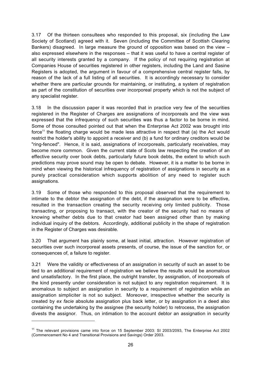3.17 Of the thirteen consultees who responded to this proposal, six (including the Law Society of Scotland) agreed with it. Seven (including the Committee of Scottish Clearing Bankers) disagreed. In large measure the ground of opposition was based on the view – also expressed elsewhere in the responses – that it was useful to have a central register of all security interests granted by a company. If the policy of not requiring registration at Companies House of securities registered in other registers, including the Land and Sasine Registers is adopted, the argument in favour of a comprehensive central register falls, by reason of the lack of a full listing of all securities. It is accordingly necessary to consider whether there are particular grounds for maintaining, or instituting, a system of registration as part of the constitution of securities over incorporeal property which is not the subject of any specialist register.

3.18 In the discussion paper it was recorded that in practice very few of the securities registered in the Register of Charges are assignations of incorporeals and the view was expressed that the infrequency of such securities was thus a factor to be borne in mind. Some of those consulted pointed out that when the Enterprise Act 2002 was brought into force<sup>11</sup> the floating charge would be made less attractive in respect that (a) the Act would restrict the holder's ability to appoint a receiver and (b) a fund for ordinary creditors would be "ring-fenced". Hence, it is said, assignations of incorporeals, particularly receivables, may become more common. Given the current state of Scots law respecting the creation of an effective security over book debts, particularly future book debts, the extent to which such predictions may prove sound may be open to debate. However, it is a matter to be borne in mind when viewing the historical infrequency of registration of assignations in security as a purely practical consideration which supports abolition of any need to register such assignations.

3.19 Some of those who responded to this proposal observed that the requirement to intimate to the debtor the assignation of the debt, if the assignation were to be effective, resulted in the transaction creating the security receiving only limited publicity. Those transacting, or proposing to transact, with the creator of the security had no means of knowing whether debts due to that creator had been assigned other than by making individual inquiry of the debtors. Accordingly, additional publicity in the shape of registration in the Register of Charges was desirable.

3.20 That argument has plainly some, at least initial, attraction. However registration of securities over such incorporeal assets presents, of course, the issue of the sanction for, or consequences of, a failure to register.

3.21 Were the validity or effectiveness of an assignation in security of such an asset to be tied to an additional requirement of registration we believe the results would be anomalous and unsatisfactory. In the first place, the outright transfer, by assignation, of incorporeals of the kind presently under consideration is not subject to any registration requirement. It is anomalous to subject an assignation in security to a requirement of registration while an assignation simpliciter is not so subject. Moreover, irrespective whether the security is created by *ex facie* absolute assignation plus back letter, or by assignation in a deed also containing the undertaking by the assignee (the security holder) to retrocess, the assignation divests the assignor. Thus, on intimation to the account debtor an assignation in security

<sup>&</sup>lt;sup>11</sup> The relevant provisions came into force on 15 September 2003: SI 2003/2093, The Enterprise Act 2002 (Commencement No 4 and Transitional Provisions and Savings) Order 2003.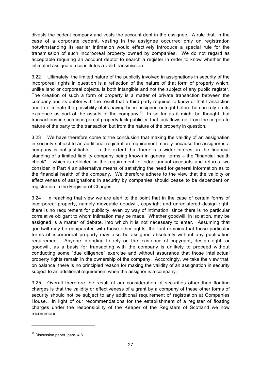divests the cedent company and vests the account debt in the assignee. A rule that, in the case of a corporate cedent, vesting in the assignee occurred only on registration notwithstanding its earlier intimation would effectively introduce a special rule for the transmission of such incorporeal property owned by companies. We do not regard as acceptable requiring an account debtor to search a register in order to know whether the intimated assignation constitutes a valid transmission.

3.22 Ultimately, the limited nature of the publicity involved in assignations in security of the incorporeal rights in question is a reflection of the nature of that form of property which, unlike land or corporeal objects, is both intangible and not the subject of any public register. The creation of such a form of property is a matter of private transaction between the company and its debtor with the result that a third party requires to know of that transaction and to eliminate the possibility of its having been assigned outright before he can rely on its existence as part of the assets of the company.<sup>12</sup> In so far as it might be thought that transactions in such incorporeal property lack publicity, that lack flows not from the corporate nature of the party to the transaction but from the nature of the property in question.

3.23 We have therefore come to the conclusion that making the validity of an assignation in security subject to an additional registration requirement merely because the assignor is a company is not justifiable. To the extent that there is a wider interest in the financial standing of a limited liability company being known in general terms – the "financial health check" – which is reflected in the requirement to lodge annual accounts and returns, we consider in Part 4 an alternative means of satisfying the need for general information as to the financial health of the company. We therefore adhere to the view that the validity or effectiveness of assignations in security by companies should cease to be dependent on registration in the Register of Charges.

3.24 In reaching that view we are alert to the point that in the case of certain forms of incorporeal property, namely moveable goodwill, copyright and unregistered design right, there is no requirement for publicity, even by way of intimation, since there is no particular correlative obligant to whom intimation may be made. Whether goodwill, in isolation, may be assigned is a matter of debate, into which it is not necessary to enter. Assuming that goodwill may be equiparated with those other rights, the fact remains that those particular forms of incorporeal property may also be assigned absolutely without any publication requirement. Anyone intending to rely on the existence of copyright, design right, or goodwill, as a basis for transacting with the company is unlikely to proceed without conducting some "due diligence" exercise and without assurance that those intellectual property rights remain in the ownership of the company. Accordingly, we take the view that, on balance, there is no principled reason for making the validity of an assignation in security subject to an additional requirement when the assignor is a company.

3.25 Overall therefore the result of our consideration of securities other than floating charges is that the validity or effectiveness of a grant by a company of these other forms of security should not be subject to any additional requirement of registration at Companies House. In light of our recommendations for the establishment of a register of floating charges under the responsibility of the Keeper of the Registers of Scotland we now recommend:

 $12$  Discussion paper, para, 4.6.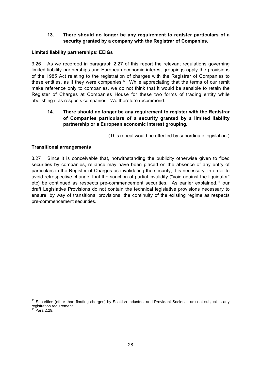#### **13. There should no longer be any requirement to register particulars of a security granted by a company with the Registrar of Companies.**

#### **Limited liability partnerships: EEIGs**

3.26 As we recorded in paragraph 2.27 of this report the relevant regulations governing limited liability partnerships and European economic interest groupings apply the provisions of the 1985 Act relating to the registration of charges with the Registrar of Companies to these entities, as if they were companies.<sup>13</sup> While appreciating that the terms of our remit make reference only to companies, we do not think that it would be sensible to retain the Register of Charges at Companies House for these two forms of trading entity while abolishing it as respects companies. We therefore recommend:

#### **14. There should no longer be any requirement to register with the Registrar of Companies particulars of a security granted by a limited liability partnership or a European economic interest grouping.**

(This repeal would be effected by subordinate legislation.)

#### **Transitional arrangements**

3.27 Since it is conceivable that, notwithstanding the publicity otherwise given to fixed securities by companies, reliance may have been placed on the absence of any entry of particulars in the Register of Charges as invalidating the security, it is necessary, in order to avoid retrospective change, that the sanction of partial invalidity ("void against the liquidator" etc) be continued as respects pre-commencement securities. As earlier explained,<sup>14</sup> our draft Legislative Provisions do not contain the technical legislative provisions necessary to ensure, by way of transitional provisions, the continuity of the existing regime as respects pre-commencement securities.

<sup>&</sup>lt;sup>13</sup> Securities (other than floating charges) by Scottish Industrial and Provident Societies are not subject to any registration requirement.

 $P<sub>ara</sub>$  2.29.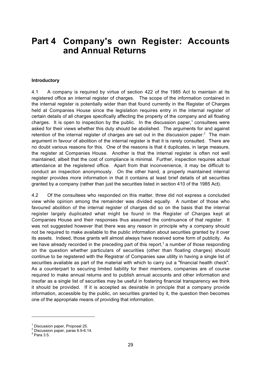### **Part 4 Company's own Register: Accounts and Annual Returns**

#### **Introductory**

4.1 A company is required by virtue of section 422 of the 1985 Act to maintain at its registered office an internal register of charges. The scope of the information contained in the internal register is potentially wider than that found currently in the Register of Charges held at Companies House since the legislation requires entry in the internal register of certain details of all charges specifically affecting the property of the company and all floating charges. It is open to inspection by the public. In the discussion paper,<sup>1</sup> consultees were asked for their views whether this duty should be abolished. The arguments for and against retention of the internal register of charges are set out in the discussion paper. $2$  The main argument in favour of abolition of the internal register is that it is rarely consulted. There are no doubt various reasons for this. One of the reasons is that it duplicates, in large measure, the register at Companies House. Another is that the internal register is often not well maintained, albeit that the cost of compliance is minimal. Further, inspection requires actual attendance at the registered office. Apart from that inconvenience, it may be difficult to conduct an inspection anonymously. On the other hand, a properly maintained internal register provides more information in that it contains at least brief details of all securities granted by a company (rather than just the securities listed in section 410 of the 1985 Act).

4.2 Of the consultees who responded on this matter, three did not express a concluded view while opinion among the remainder was divided equally. A number of those who favoured abolition of the internal register of charges did so on the basis that the internal register largely duplicated what might be found in the Register of Charges kept at Companies House and their responses thus assumed the continuance of that register. It was not suggested however that there was any reason in principle why a company should not be required to make available to the public information about securities granted by it over its assets. Indeed, those grants will almost always have received some form of publicity. As we have already recorded in the preceding part of this report,<sup>3</sup> a number of those responding on the question whether particulars of securities (other than floating charges) should continue to be registered with the Registrar of Companies saw utility in having a single list of securities available as part of the material with which to carry out a "financial health check". As a counterpart to securing limited liability for their members, companies are of course required to make annual returns and to publish annual accounts and other information and insofar as a single list of securities may be useful in fostering financial transparency we think it should be provided. If it is accepted as desirable in principle that a company provide information, accessible by the public, on securities granted by it, the question then becomes one of the appropriate means of providing that information.

 $1$  Discussion paper, Proposal 25.

 $2^2$  Discussion paper, paras 6.9-6.14.

 $^3$  Para 3.5.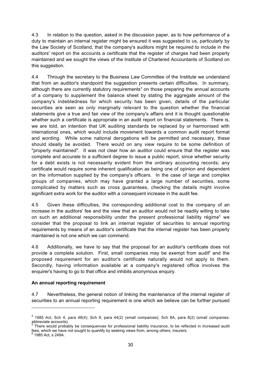4.3 In relation to the question, asked in the discussion paper, as to how performance of a duty to maintain an internal register might be ensured it was suggested to us, particularly by the Law Society of Scotland, that the company's auditors might be required to include in the auditors' report on the accounts a certificate that the register of charges had been properly maintained and we sought the views of the Institute of Chartered Accountants of Scotland on this suggestion.

4.4 Through the secretary to the Business Law Committee of the Institute we understand that from an auditor's standpoint the suggestion presents certain difficulties. In summary, although there are currently statutory requirements<sup>4</sup> on those preparing the annual accounts of a company to supplement the balance sheet by stating the aggregate amount of the company's indebtedness for which security has been given, details of the particular securities are seen as only marginally relevant to the question whether the financial statements give a true and fair view of the company's affairs and it is thought questionable whether such a certificate is appropriate in an audit report on financial statements. There is, we are told, an intention that UK auditing standards be replaced by or harmonised with international ones, which would include movement towards a common audit report format and wording. While some national derogations will be permitted and necessary, these should ideally be avoided. There would on any view require to be some definition of "properly maintained". It was not clear how an auditor could ensure that the register was complete and accurate to a sufficient degree to issue a public report, since whether security for a debt exists is not necessarily evident from the ordinary accounting records; any certificate would require some inherent qualification as being one of opinion and dependent on the information supplied by the company's officers. In the case of large and complex groups of companies, which may have granted a large number of securities, some complicated by matters such as cross guarantees, checking the details might involve significant extra work for the auditor with a consequent increase in the audit fee.

4.5 Given these difficulties, the corresponding additional cost to the company of an increase in the auditors' fee and the view that an auditor would not be readily willing to take on such an additional responsibility under the present professional liability régime<sup>5</sup> we consider that the proposal to link an internal register of securities to annual reporting requirements by means of an auditor's certificate that the internal register has been properly maintained is not one which we can commend.

4.6 Additionally, we have to say that the proposal for an auditor's certificate does not provide a complete solution. First, small companies may be exempt from audit $<sup>6</sup>$  and the</sup> proposed requirement for an auditor's certificate naturally would not apply to them. Secondly, having information available at a company's registered office involves the enquirer's having to go to that office and inhibits anonymous enquiry.

# **An annual reporting requirement**

4.7 Nevertheless, the general notion of linking the maintenance of the internal register of securities to an annual reporting requirement is one which we believe can be further pursued

 $4$  1985 Act, Sch 4, para 48(4); Sch 8, para 44(2) (small companies); Sch 8A, para 8(2) (small companies: abbreviate accounts).

 $5$  There would probably be consequences for professional liability insurance, to be reflected in increased audit fees, which we have not sought to quantify by seeking views from, among others, insurers. 6

 <sup>1985</sup> Act, s 249A.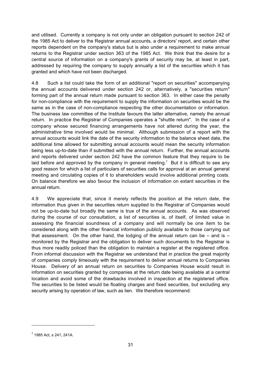and utilised. Currently a company is not only under an obligation pursuant to section 242 of the 1985 Act to deliver to the Registrar annual accounts, a directors' report, and certain other reports dependent on the company's status but is also under a requirement to make annual returns to the Registrar under section 363 of the 1985 Act. We think that the desire for a central source of information on a company's grants of security may be, at least in part, addressed by requiring the company to supply annually a list of the securities which it has granted and which have not been discharged.

4.8 Such a list could take the form of an additional "report on securities" accompanying the annual accounts delivered under section 242 or, alternatively, a "securities return" forming part of the annual return made pursuant to section 363. In either case the penalty for non-compliance with the requirement to supply the information on securities would be the same as in the case of non-compliance respecting the other documentation or information. The business law committee of the Institute favours the latter alternative, namely the annual return. In practice the Registrar of Companies operates a "shuttle return". In the case of a company whose secured financing arrangements have not altered during the year, the administrative time involved would be minimal. Although submission of a report with the annual accounts would link the date of the security information to the balance sheet date, the additional time allowed for submitting annual accounts would mean the security information being less up-to-date than if submitted with the annual return. Further, the annual accounts and reports delivered under section 242 have the common feature that they require to be laid before and approved by the company in general meeting.<sup>7</sup> But it is difficult to see any good reason for which a list of particulars of securities calls for approval at an annual general meeting and circulating copies of it to shareholders would involve additional printing costs. On balance therefore we also favour the inclusion of information on extant securities in the annual return.

4.9 We appreciate that, since it merely reflects the position at the return date, the information thus given in the securities return supplied to the Registrar of Companies would not be up-to-date but broadly the same is true of the annual accounts. As was observed during the course of our consultation, a list of securities is, of itself, of limited value in assessing the financial soundness of a company and will normally be one item to be considered along with the other financial information publicly available to those carrying out that assessment. On the other hand, the lodging of the annual return can be  $-$  and is  $$ monitored by the Registrar and the obligation to deliver such documents to the Registrar is thus more readily policed than the obligation to maintain a register at the registered office. From informal discussion with the Registrar we understand that in practice the great majority of companies comply timeously with the requirement to deliver annual returns to Companies House. Delivery of an annual return on securities to Companies House would result in information on securities granted by companies at the return date being available at a central location and avoid some of the drawbacks involved in inspection at the registered office. The securities to be listed would be floating charges and fixed securities, but excluding any security arising by operation of law, such as lien. We therefore recommend:

 $<sup>7</sup>$  1985 Act, s 241; 241A.</sup>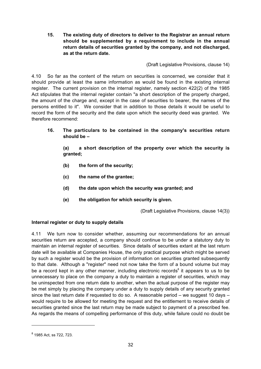**15. The existing duty of directors to deliver to the Registrar an annual return should be supplemented by a requirement to include in the annual return details of securities granted by the company, and not discharged, as at the return date.** 

(Draft Legislative Provisions, clause 14)

4.10 So far as the content of the return on securities is concerned, we consider that it should provide at least the same information as would be found in the existing internal register. The current provision on the internal register, namely section 422(2) of the 1985 Act stipulates that the internal register contain "a short description of the property charged, the amount of the charge and, except in the case of securities to bearer, the names of the persons entitled to it". We consider that in addition to those details it would be useful to record the form of the security and the date upon which the security deed was granted. We therefore recommend:

**16. The particulars to be contained in the company's securities return should be –** 

**(a) a short description of the property over which the security is granted;** 

- **(b) the form of the security;**
- **(c) the name of the grantee;**
- **(d) the date upon which the security was granted; and**
- **(e) the obligation for which security is given.**

(Draft Legislative Provisions, clause 14(3))

# **Internal register or duty to supply details**

4.11 We turn now to consider whether, assuming our recommendations for an annual securities return are accepted, a company should continue to be under a statutory duty to maintain an internal register of securities. Since details of securities extant at the last return date will be available at Companies House, the only practical purpose which might be served by such a register would be the provision of information on securities granted subsequently to that date. Although a "register" need not now take the form of a bound volume but may be a record kept in any other manner, including electronic records<sup>8</sup> it appears to us to be unnecessary to place on the company a duty to maintain a register of securities, which may be uninspected from one return date to another, when the actual purpose of the register may be met simply by placing the company under a duty to supply details of any security granted since the last return date if requested to do so. A reasonable period – we suggest 10 days – would require to be allowed for meeting the request and the entitlement to receive details of securities granted since the last return may be made subject to payment of a prescribed fee. As regards the means of compelling performance of this duty, while failure could no doubt be

<sup>&</sup>lt;sup>8</sup> 1985 Act, ss 722, 723.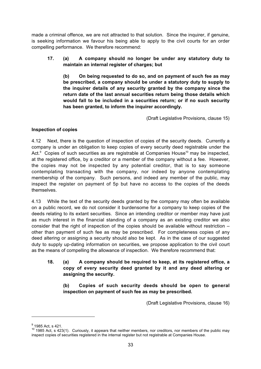made a criminal offence, we are not attracted to that solution. Since the inquirer, if genuine, is seeking information we favour his being able to apply to the civil courts for an order compelling performance. We therefore recommend:

# **17. (a) A company should no longer be under any statutory duty to maintain an internal register of charges; but**

**(b) On being requested to do so, and on payment of such fee as may be prescribed, a company should be under a statutory duty to supply to the inquirer details of any security granted by the company since the return date of the last annual securities return being those details which would fall to be included in a securities return; or if no such security has been granted, to inform the inquirer accordingly.** 

(Draft Legislative Provisions, clause 15)

# **Inspection of copies**

4.12 Next, there is the question of inspection of copies of the security deeds. Currently a company is under an obligation to keep copies of every security deed registrable under the Act. $9$  Copies of such securities as are registrable at Companies House<sup>10</sup> may be inspected, at the registered office, by a creditor or a member of the company without a fee. However, the copies may not be inspected by any potential creditor, that is to say someone contemplating transacting with the company, nor indeed by anyone contemplating membership of the company. Such persons, and indeed any member of the public, may inspect the register on payment of 5p but have no access to the copies of the deeds themselves.

4.13 While the text of the security deeds granted by the company may often be available on a public record, we do not consider it burdensome for a company to keep copies of the deeds relating to its extant securities. Since an intending creditor or member may have just as much interest in the financial standing of a company as an existing creditor we also consider that the right of inspection of the copies should be available without restriction – other than payment of such fee as may be prescribed. For completeness copies of any deed altering or assigning a security should also be kept. As in the case of our suggested duty to supply up-dating information on securities, we propose application to the civil court as the means of compelling the allowance of inspection. We therefore recommend that:

# **18. (a) A company should be required to keep, at its registered office, a copy of every security deed granted by it and any deed altering or assigning the security.**

**(b) Copies of such security deeds should be open to general inspection on payment of such fee as may be prescribed.** 

(Draft Legislative Provisions, clause 16)

 $^{9}$  1985 Act, s 421.

 $10$  1985 Act, s 423(1). Curiously, it appears that neither members, nor creditors, nor members of the public may inspect copies of securities registered in the internal register but not registrable at Companies House.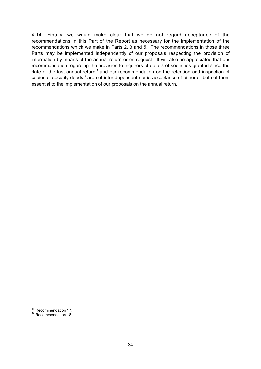4.14 Finally, we would make clear that we do not regard acceptance of the recommendations in this Part of the Report as necessary for the implementation of the recommendations which we make in Parts 2, 3 and 5. The recommendations in those three Parts may be implemented independently of our proposals respecting the provision of information by means of the annual return or on request. It will also be appreciated that our recommendation regarding the provision to inquirers of details of securities granted since the date of the last annual return<sup>11</sup> and our recommendation on the retention and inspection of copies of security deeds $12$  are not inter-dependent nor is acceptance of either or both of them essential to the implementation of our proposals on the annual return.

 $11$  Recommendation 17.<br> $12$  Recommendation 18.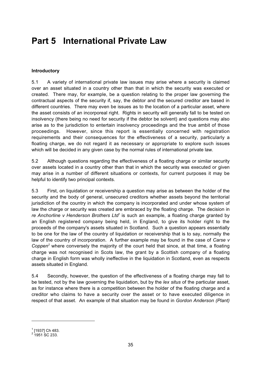# **Part 5 International Private Law**

# **Introductory**

5.1 A variety of international private law issues may arise where a security is claimed over an asset situated in a country other than that in which the security was executed or created. There may, for example, be a question relating to the proper law governing the contractual aspects of the security if, say, the debtor and the secured creditor are based in different countries. There may even be issues as to the location of a particular asset, where the asset consists of an incorporeal right. Rights in security will generally fall to be tested on insolvency (there being no need for security if the debtor be solvent) and questions may also arise as to the jurisdiction to entertain insolvency proceedings and the true ambit of those proceedings. However, since this report is essentially concerned with registration requirements and their consequences for the effectiveness of a security, particularly a floating charge, we do not regard it as necessary or appropriate to explore such issues which will be decided in any given case by the normal rules of international private law.

5.2 Although questions regarding the effectiveness of a floating charge or similar security over assets located in a country other than that in which the security was executed or given may arise in a number of different situations or contexts, for current purposes it may be helpful to identify two principal contexts.

5.3 First, on liquidation or receivership a question may arise as between the holder of the security and the body of general, unsecured creditors whether assets beyond the territorial jurisdiction of the country in which the company is incorporated and under whose system of law the charge or security was created are embraced by the floating charge. The decision in re Anchorline v Henderson Brothers Ltd<sup>1</sup> is such an example, a floating charge granted by an English registered company being held, in England, to give its holder right to the proceeds of the company's assets situated in Scotland. Such a question appears essentially to be one for the law of the country of liquidation or receivership that is to say, normally the law of the country of incorporation. A further example may be found in the case of *Carse v Coppen2* where conversely the majority of the court held that since, at that time, a floating charge was not recognised in Scots law, the grant by a Scottish company of a floating charge in English form was wholly ineffective in the liquidation in Scotland, even as respects assets situated in England.

5.4 Secondly, however, the question of the effectiveness of a floating charge may fall to be tested, not by the law governing the liquidation, but by the *lex situs* of the particular asset, as for instance where there is a competition between the holder of the floating charge and a creditor who claims to have a security over the asset or to have executed diligence in respect of that asset. An example of that situation may be found in *Gordon Anderson (Plant)* 

<sup>&</sup>lt;sup>1</sup> [1937] Ch 483.<br><sup>2</sup> 1951 SC 233.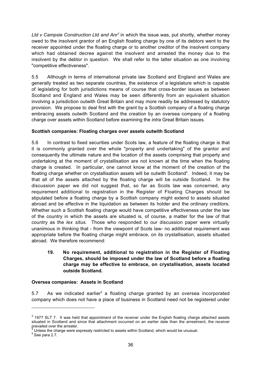Ltd v Campsie Construction Ltd and Anr<sup>3</sup> in which the issue was, put shortly, whether money owed to the insolvent grantor of an English floating charge by one of its debtors went to the receiver appointed under the floating charge or to another creditor of the insolvent company which had obtained decree against the insolvent and arrested the money due to the insolvent by the debtor in question. We shall refer to the latter situation as one involving "competitive effectiveness".

5.5 Although in terms of international private law Scotland and England and Wales are generally treated as two separate countries, the existence of a legislature which is capable of legislating for both jurisdictions means of course that cross-border issues as between Scotland and England and Wales may be seen differently from an equivalent situation involving a jurisdiction outwith Great Britain and may more readily be addressed by statutory provision. We propose to deal first with the grant by a Scottish company of a floating charge embracing assets outwith Scotland and the creation by an oversea company of a floating charge over assets within Scotland before examining the *intra* Great Britain issues.

# **Scottish companies: Floating charges over assets outwith Scotland**

5.6 In contrast to fixed securities under Scots law, a feature of the floating charge is that it is commonly granted over the whole "property and undertaking" of the grantor and consequently the ultimate nature and the location of the assets comprising that property and undertaking at the moment of crystallisation are not known at the time when the floating charge is created. In particular, one cannot know at the moment of the creation of the floating charge whether on crystallisation assets will be outwith Scotland<sup>4</sup>. Indeed, it may be that all of the assets attached by the floating charge will be outside Scotland. In the discussion paper we did not suggest that, so far as Scots law was concerned, any requirement additional to registration in the Register of Floating Charges should be stipulated before a floating charge by a Scottish company might extend to assets situated abroad and be effective in the liquidation as between its holder and the ordinary creditors. Whether such a Scottish floating charge would have competitive effectiveness under the law of the country in which the assets are situated is, of course, a matter for the law of that country as the *lex situs*. Those who responded to our discussion paper were virtually unanimous in thinking that - from the viewpoint of Scots law- no additional requirement was appropriate before the floating charge might embrace, on its crystallisation, assets situated abroad. We therefore recommend:

# **19. No requirement, additional to registration in the Register of Floating Charges, should be imposed under the law of Scotland before a floating charge may be effective to embrace, on crystallisation, assets located outside Scotland.**

# **Oversea companies: Assets in Scotland**

5.7 As we indicated earlier<sup>5</sup> a floating charge granted by an oversea incorporated company which does not have a place of business in Scotland need not be registered under

 $3$  1977 SLT 7. It was held that appointment of the receiver under the English floating charge attached assets situated in Scotland and since that attachment occurred on an earlier date than the arrestment, the receiver prevailed over the arrester.<br><sup>4</sup> Unless the sharge ware av

Unless the charge were expressly restricted to assets within Scotland, which would be unusual.

 $<sup>5</sup>$  See para 2.7.</sup>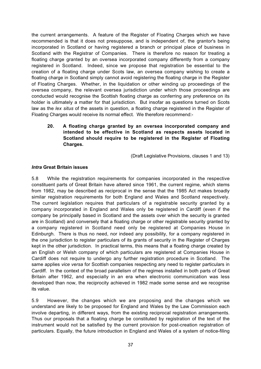the current arrangements. A feature of the Register of Floating Charges which we have recommended is that it does not presuppose, and is independent of, the grantor's being incorporated in Scotland or having registered a branch or principal place of business in Scotland with the Registrar of Companies. There is therefore no reason for treating a floating charge granted by an oversea incorporated company differently from a company registered in Scotland. Indeed, since we propose that registration be essential to the creation of a floating charge under Scots law, an oversea company wishing to create a floating charge in Scotland simply cannot avoid registering the floating charge in the Register of Floating Charges. Whether, in the liquidation or other winding up proceedings of the oversea company, the relevant oversea jurisdiction under which those proceedings are conducted would recognise the Scottish floating charge as conferring any preference on its holder is ultimately a matter for that jurisdiction. But insofar as questions turned on Scots law as the *lex situs* of the assets in question, a floating charge registered in the Register of Floating Charges would receive its normal effect. We therefore recommend:

# **20. A floating charge granted by an oversea incorporated company and intended to be effective in Scotland as respects assets located in Scotland should require to be registered in the Register of Floating Charges.**

(Draft Legislative Provisions, clauses 1 and 13)

# *Intra* **Great Britain issues**

5.8 While the registration requirements for companies incorporated in the respective constituent parts of Great Britain have altered since 1961, the current regime, which stems from 1982, may be described as reciprocal in the sense that the 1985 Act makes broadly similar registration requirements for both England and Wales and Scotland respectively. The current legislation requires that particulars of a registrable security granted by a company incorporated in England and Wales only be registered in Cardiff (even if the company be principally based in Scotland and the assets over which the security is granted are in Scotland) and conversely that a floating charge or other registrable security granted by a company registered in Scotland need only be registered at Companies House in Edinburgh. There is thus no need, nor indeed any possibility, for a company registered in the one jurisdiction to register particulars of its grants of security in the Register of Charges kept in the other jurisdiction. In practical terms, this means that a floating charge created by an English or Welsh company of which particulars are registered at Companies House in Cardiff does not require to undergo any further registration procedure in Scotland. The same applies *vice versa* for Scottish companies respecting any need to register particulars in Cardiff. In the context of the broad parallelism of the regimes installed in both parts of Great Britain after 1962, and especially in an era when electronic communication was less developed than now, the reciprocity achieved in 1982 made some sense and we recognise its value.

5.9 However, the changes which we are proposing and the changes which we understand are likely to be proposed for England and Wales by the Law Commission each involve departing, in different ways, from the existing reciprocal registration arrangements. Thus our proposals that a floating charge be constituted by registration of the text of the instrument would not be satisfied by the current provision for post-creation registration of particulars. Equally, the future introduction in England and Wales of a system of notice-filing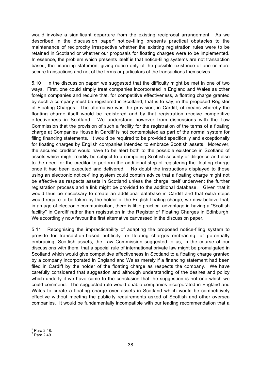would involve a significant departure from the existing reciprocal arrangement. As we described in the discussion paper<sup>6</sup> notice-filing presents practical obstacles to the maintenance of reciprocity irrespective whether the existing registration rules were to be retained in Scotland or whether our proposals for floating charges were to be implemented. In essence, the problem which presents itself is that notice-filing systems are not transaction based, the financing statement giving notice only of the possible existence of one or more secure transactions and not of the terms or particulars of the transactions themselves.

5.10 In the discussion paper<sup>7</sup> we suggested that the difficulty might be met in one of two ways. First, one could simply treat companies incorporated in England and Wales as other foreign companies and require that, for competitive effectiveness, a floating charge granted by such a company must be registered in Scotland, that is to say, in the proposed Register of Floating Charges. The alternative was the provision, in Cardiff, of means whereby the floating charge itself would be registered and by that registration receive competitive effectiveness in Scotland. We understand however from discussions with the Law Commission that the provision of such a facility for the registration of the terms of a floating charge at Companies House in Cardiff is not contemplated as part of the normal system for filing financing statements. It would be required to be provided specifically and exceptionally for floating charges by English companies intended to embrace Scottish assets. Moreover, the secured creditor would have to be alert both to the possible existence in Scotland of assets which might readily be subject to a competing Scottish security or diligence and also to the need for the creditor to perform the additional step of registering the floating charge once it had been executed and delivered. No doubt the instructions displayed to those using an electronic notice-filing system could contain advice that a floating charge might not be effective as respects assets in Scotland unless the charge itself underwent the further registration process and a link might be provided to the additional database. Given that it would thus be necessary to create an additional database in Cardiff and that extra steps would require to be taken by the holder of the English floating charge, we now believe that, in an age of electronic communication, there is little practical advantage in having a "Scottish facility" in Cardiff rather than registration in the Register of Floating Charges in Edinburgh. We accordingly now favour the first alternative canvassed in the discussion paper.

5.11 Recognising the impracticability of adapting the proposed notice-filing system to provide for transaction-based publicity for floating charges embracing, or potentially embracing, Scottish assets, the Law Commission suggested to us, in the course of our discussions with them, that a special rule of international private law might be promulgated in Scotland which would give competitive effectiveness in Scotland to a floating charge granted by a company incorporated in England and Wales merely if a financing statement had been filed in Cardiff by the holder of the floating charge as respects the company. We have carefully considered that suggestion and although understanding of the desires and policy which underly it we have come to the conclusion that the suggestion is not one which we could commend. The suggested rule would enable companies incorporated in England and Wales to create a floating charge over assets in Scotland which would be competitively effective without meeting the publicity requirements asked of Scottish and other oversea companies. It would be fundamentally incompatible with our leading recommendation that a

 $\frac{6}{7}$ Para 2.48.

 $<sup>7</sup>$  Para 2.49.</sup>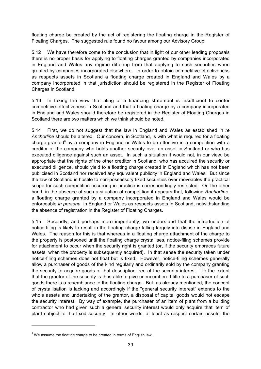floating charge be created by the act of registering the floating charge in the Register of Floating Charges. The suggested rule found no favour among our Advisory Group.

5.12 We have therefore come to the conclusion that in light of our other leading proposals there is no proper basis for applying to floating charges granted by companies incorporated in England and Wales any régime differing from that applying to such securities when granted by companies incorporated elsewhere. In order to obtain competitive effectiveness as respects assets in Scotland a floating charge created in England and Wales by a company incorporated in that jurisdiction should be registered in the Register of Floating Charges in Scotland.

5.13 In taking the view that filing of a financing statement is insufficient to confer competitive effectiveness in Scotland and that a floating charge by a company incorporated in England and Wales should therefore be registered in the Register of Floating Charges in Scotland there are two matters which we think should be noted.

5.14 First, we do not suggest that the law in England and Wales as established in *re Anchorline* should be altered. Our concern, in Scotland, is with what is required for a floating charge granted<sup>8</sup> by a company in England or Wales to be effective in a competition with a creditor of the company who holds another security over an asset in Scotland or who has executed diligence against such an asset. In such a situation it would not, in our view, be appropriate that the rights of the other creditor in Scotland, who has acquired the security or executed diligence, should yield to a floating charge created in England which has not been publicised in Scotland nor received any equivalent publicity in England and Wales. But since the law of Scotland is hostile to non-possessory fixed securities over moveables the practical scope for such competition occurring in practice is correspondingly restricted. On the other hand, in the absence of such a situation of competition it appears that, following *Anchorline*, a floating charge granted by a company incorporated in England and Wales would be enforceable *in persona* in England or Wales as respects assets in Scotland, notwithstanding the absence of registration in the Register of Floating Charges.

5.15 Secondly, and perhaps more importantly, we understand that the introduction of notice-filing is likely to result in the floating charge falling largely into disuse in England and Wales. The reason for this is that whereas in a floating charge attachment of the charge to the property is postponed until the floating charge crystallises, notice-filing schemes provide for attachment to occur when the security right is granted (or, if the security embraces future assets, when the property is subsequently acquired). In that sense the security taken under notice-filing schemes does not float but is fixed. However, notice-filing schemes generally allow a purchaser of goods of the kind regularly and ordinarily sold by the company granting the security to acquire goods of that description free of the security interest. To the extent that the grantor of the security is thus able to give unencumbered title to a purchaser of such goods there is a resemblance to the floating charge. But, as already mentioned, the concept of crystallisation is lacking and accordingly if the "general security interest" extends to the whole assets and undertaking of the grantor, a disposal of capital goods would not escape the security interest. By way of example, the purchaser of an item of plant from a building contractor who had given such a general security interest would only acquire that item of plant subject to the fixed security. In other words, at least as respect certain assets, the

 $^8$  We assume the floating charge to be created in terms of English law.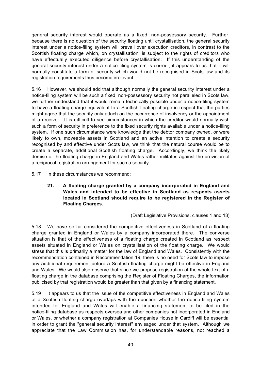general security interest would operate as a fixed, non-possessory security. Further, because there is no question of the security floating until crystallisation, the general security interest under a notice-filing system will prevail over execution creditors, in contrast to the Scottish floating charge which, on crystallisation, is subject to the rights of creditors who have effectually executed diligence before crystallisation. If this understanding of the general security interest under a notice-filing system is correct, it appears to us that it will normally constitute a form of security which would not be recognised in Scots law and its registration requirements thus become irrelevant.

5.16 However, we should add that although normally the general security interest under a notice-filing system will be such a fixed, non-possessory security not paralleled in Scots law, we further understand that it would remain technically possible under a notice-filing system to have a floating charge equivalent to a Scottish floating charge in respect that the parties might agree that the security only attach on the occurrence of insolvency or the appointment of a receiver. It is difficult to see circumstances in which the creditor would normally wish such a form of security in preference to the fixed security rights available under a notice-filing system. If one such circumstance were knowledge that the debtor company owned, or were likely to own, moveable assets in Scotland and an active intention to create a security recognised by and effective under Scots law, we think that the natural course would be to create a separate, additional Scottish floating charge. Accordingly, we think the likely demise of the floating charge in England and Wales rather militates against the provision of a reciprocal registration arrangement for such a security.

5.17 In these circumstances we recommend:

# **21. A floating charge granted by a company incorporated in England and Wales and intended to be effective in Scotland as respects assets located in Scotland should require to be registered in the Register of Floating Charges.**

(Draft Legislative Provisions, clauses 1 and 13)

5.18 We have so far considered the competitive effectiveness in Scotland of a floating charge granted in England or Wales by a company incorporated there. The converse situation is that of the effectiveness of a floating charge created in Scotland as respect assets situated in England or Wales on crystallisation of the floating charge. We would stress that this is primarily a matter for the law of England and Wales. Consistently with the recommendation contained in Recommendation 19, there is no need for Scots law to impose any additional requirement before a Scottish floating charge might be effective in England and Wales. We would also observe that since we propose registration of the whole text of a floating charge in the database comprising the Register of Floating Charges, the information publicised by that registration would be greater than that given by a financing statement.

5.19 It appears to us that the issue of the competitive effectiveness in England and Wales of a Scottish floating charge overlaps with the question whether the notice-filing system intended for England and Wales will enable a financing statement to be filed in the notice-filing database as respects oversea and other companies not incorporated in England or Wales, or whether a company registration at Companies House in Cardiff will be essential in order to grant the "general security interest" envisaged under that system. Although we appreciate that the Law Commission has, for understandable reasons, not reached a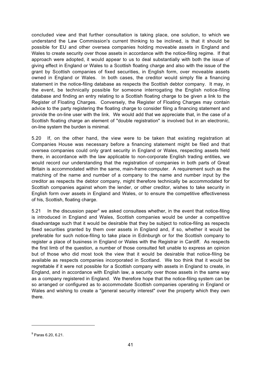concluded view and that further consultation is taking place, one solution, to which we understand the Law Commission's current thinking to be inclined, is that it should be possible for EU and other oversea companies holding moveable assets in England and Wales to create security over those assets in accordance with the notice-filing regime. If that approach were adopted, it would appear to us to deal substantially with both the issue of giving effect in England or Wales to a Scottish floating charge and also with the issue of the grant by Scottish companies of fixed securities, in English form, over moveable assets owned in England or Wales. In both cases, the creditor would simply file a financing statement in the notice-filing database as respects the Scottish debtor company. It may, in the event, be technically possible for someone interrogating the English notice-filing database and finding an entry relating to a Scottish floating charge to be given a link to the Register of Floating Charges. Conversely, the Register of Floating Charges may contain advice to the party registering the floating charge to consider filing a financing statement and provide the on-line user with the link. We would add that we appreciate that, in the case of a Scottish floating charge an element of "double registration" is involved but in an electronic, on-line system the burden is minimal.

5.20 If, on the other hand, the view were to be taken that existing registration at Companies House was necessary before a financing statement might be filed and that oversea companies could only grant security in England or Wales, respecting assets held there, in accordance with the law applicable to non-corporate English trading entities, we would record our understanding that the registration of companies in both parts of Great Britain is accommodated within the same, main-frame computer. A requirement such as the matching of the name and number of a company to the name and number input by the creditor as respects the debtor company, might therefore technically be accommodated for Scottish companies against whom the lender, or other creditor, wishes to take security in English form over assets in England and Wales, or to ensure the competitive effectiveness of his, Scottish, floating charge.

5.21 In the discussion paper $<sup>9</sup>$  we asked consultees whether, in the event that notice-filing</sup> is introduced in England and Wales, Scottish companies would be under a competitive disadvantage such that it would be desirable that they be subject to notice-filing as respects fixed securities granted by them over assets in England and, if so, whether it would be preferable for such notice-filing to take place in Edinburgh or for the Scottish company to register a place of business in England or Wales with the Registrar in Cardiff. As respects the first limb of the question, a number of those consulted felt unable to express an opinion but of those who did most took the view that it would be desirable that notice-filing be available as respects companies incorporated in Scotland. We too think that it would be regrettable if it were not possible for a Scottish company with assets in England to create, in England, and in accordance with English law, a security over those assets in the same way as a company registered in England. We therefore hope that the notice-filing system can be so arranged or configured as to accommodate Scottish companies operating in England or Wales and wishing to create a "general security interest" over the property which they own there.

 $^9$  Paras 6.20, 6.21.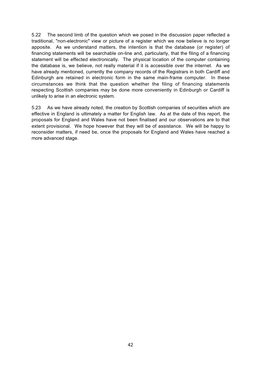5.22 The second limb of the question which we posed in the discussion paper reflected a traditional, "non-electronic" view or picture of a register which we now believe is no longer apposite. As we understand matters, the intention is that the database (or register) of financing statements will be searchable on-line and, particularly, that the filing of a financing statement will be effected electronically. The physical location of the computer containing the database is, we believe, not really material if it is accessible over the internet. As we have already mentioned, currently the company records of the Registrars in both Cardiff and Edinburgh are retained in electronic form in the same main-frame computer. In these circumstances we think that the question whether the filing of financing statements respecting Scottish companies may be done more conveniently in Edinburgh or Cardiff is unlikely to arise in an electronic system.

5.23 As we have already noted, the creation by Scottish companies of securities which are effective in England is ultimately a matter for English law. As at the date of this report, the proposals for England and Wales have not been finalised and our observations are to that extent provisional. We hope however that they will be of assistance. We will be happy to reconsider matters, if need be, once the proposals for England and Wales have reached a more advanced stage.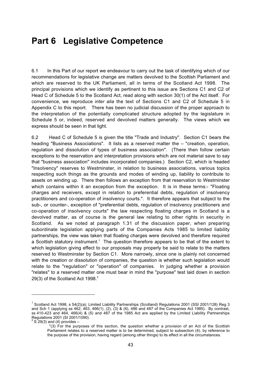# **Part 6 Legislative Competence**

6.1 In this Part of our report we endeavour to carry out the task of identifying which of our recommendations for legislative change are matters devolved to the Scottish Parliament and which are reserved to the UK Parliament, all in terms of the Scotland Act 1998. The principal provisions which we identify as pertinent to this issue are Sections C1 and C2 of Head C of Schedule 5 to the Scotland Act, read along with section 30(1) of the Act itself. For convenience, we reproduce *inter alia* the text of Sections C1 and C2 of Schedule 5 in Appendix C to this report. There has been no judicial discussion of the proper approach to the interpretation of the potentially complicated structure adopted by the legislature in Schedule 5 or, indeed, reserved and devolved matters generally. The views which we express should be seen in that light.

6.2 Head C of Schedule 5 is given the title "Trade and Industry". Section C1 bears the heading "Business Associations". It lists as a reserved matter the  $-$  "creation, operation, regulation and dissolution of types of business association". (There then follow certain exceptions to the reservation and interpretation provisions which are not material save to say that "business association" includes incorporated companies.) Section C2, which is headed "Insolvency" reserves to Westminster, in relation to business associations, various topics respecting such things as the grounds and modes of winding up, liability to contribute to assets on winding up. There then follows an exception from that reservation to Westminster which contains within it an exception from the exception. It is in these terms:- "Floating charges and receivers, except in relation to preferential debts, regulation of insolvency practitioners and co-operation of insolvency courts.". It therefore appears that subject to the sub-, or counter-, exception of "preferential debts, regulation of insolvency practitioners and co-operation of insolvency courts" the law respecting floating charges in Scotland is a devolved matter, as of course is the general law relating to other rights in security in Scotland. As we noted at paragraph 1.31 of the discussion paper, when preparing subordinate legislation applying parts of the Companies Acts 1985 to limited liability partnerships, the view was taken that floating charges were devolved and therefore required a Scottish statutory instrument.<sup>1</sup> The question therefore appears to be that of the extent to which legislation giving effect to our proposals may properly be said to relate to the matters reserved to Westminster by Section C1. More narrowly, since one is plainly not concerned with the creation or dissolution of companies, the question is whether such legislation would relate to the "regulation" or "operation" of companies. In judging whether a provision "relates" to a reserved matter one must bear in mind the "purpose" test laid down in section 29(3) of the Scotland Act  $1998.<sup>2</sup>$ 

<sup>&</sup>lt;sup>1</sup> Scotland Act 1998, s 54(2)(a); Limited Liability Partnerships (Scotland) Regulations 2001 (SSI 2001/128) Reg 3 and Sch 1 (applying ss 462, 463, 466(1), (2), (3) & (6), 486 and 487 of the Companies Act 1985). By contrast, ss 410-423 and 464, 466(4) & (5) and 487 of the 1985 Act are applied by the Limited Liability Partnerships Regulations 2001 (SI 2001/1090).<br><sup>2</sup> S 20(3) and (4) provides

S 29(3) and (4) provides  $-$ 

<sup>&</sup>quot;(3) For the purposes of this section, the question whether a provision of an Act of the Scottish Parliament relates to a reserved matter is to be determined, subject to subsection (4), by reference to the purpose of the provision, having regard (among other things) to its effect in all the circumstances.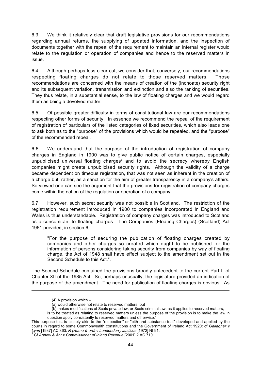6.3 We think it relatively clear that draft legislative provisions for our recommendations regarding annual returns, the supplying of updated information, and the inspection of documents together with the repeal of the requirement to maintain an internal register would relate to the regulation or operation of companies and hence to the reserved matters in issue.

6.4 Although perhaps less clear-cut, we consider that, conversely, our recommendations respecting floating charges do not relate to those reserved matters. Those recommendations are concerned with the means of creation of the (inchoate) security right and its subsequent variation, transmission and extinction and also the ranking of securities. They thus relate, in a substantial sense, to the law of floating charges and we would regard them as being a devolved matter.

6.5 Of possible greater difficulty in terms of constitutional law are our recommendations respecting other forms of security. In essence we recommend the repeal of the requirement of registration of particulars of the listed categories of fixed securities, which also leads one to ask both as to the "purpose" of the provisions which would be repealed, and the "purpose" of the recommended repeal.

6.6 We understand that the purpose of the introduction of registration of company charges in England in 1900 was to give public notice of certain charges, especially unpublicised universal floating charges<sup>3</sup> and to avoid the secrecy whereby English companies might create unpublicised security rights. Although the validity of a charge became dependent on timeous registration, that was not seen as inherent in the creation of a charge but, rather, as a sanction for the aim of greater transparency in a company's affairs. So viewed one can see the argument that the provisions for registration of company charges come within the notion of the regulation or operation of a company.

6.7 However, such secret security was not possible in Scotland. The restriction of the registration requirement introduced in 1900 to companies incorporated in England and Wales is thus understandable. Registration of company charges was introduced to Scotland as a concomitant to floating charges. The Companies (Floating Charges) (Scotland) Act 1961 provided, in section 6,

"For the purpose of securing the publication of floating charges created by companies and other charges so created which ought to be published for the information of persons considering taking security from companies by way of floating charge, the Act of 1948 shall have effect subject to the amendment set out in the Second Schedule to this Act.".

The Second Schedule contained the provisions broadly antecedent to the current Part II of Chapter XII of the 1985 Act. So, perhaps unusually, the legislature provided an indication of the purpose of the amendment. The need for publication of floating charges is obvious. As

Cf *Agnew & Anr v Commissioner of Inland Revenue* [2001] 2 AC 710.

 <sup>(4)</sup> A provision which –

 <sup>(</sup>a) would otherwise not relate to reserved matters, but

 <sup>(</sup>b) makes modifications of Scots private law, or Scots criminal law, as it applies to reserved matters,

is to be treated as relating to reserved matters unless the purpose of the provision is to make the law in question apply consistently to reserved matters and otherwise."

This purpose test is closely akin to the "respection" or "pith and substance test" developed and applied by the courts in regard to some Commonwealth constitutions and the Government of Ireland Act 1920: cf *Gallagher v Lynn* [1937] AC 863; *R (Hume & ors) v Londonderry Justices* [1972] NI 91. 3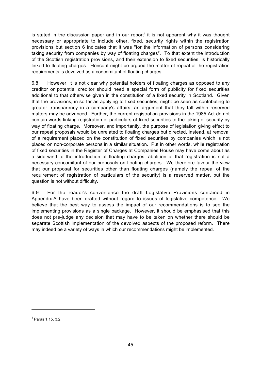is stated in the discussion paper and in our report<sup>4</sup> it is not apparent why it was thought necessary or appropriate to include other, fixed, security rights within the registration provisions but section 6 indicates that it was "for the information of persons considering taking security from companies by way of floating charges". To that extent the introduction of the Scottish registration provisions, and their extension to fixed securities, is historically linked to floating charges. Hence it might be argued the matter of repeal of the registration requirements is devolved as a concomitant of floating charges.

6.8 However, it is not clear why potential holders of floating charges as opposed to any creditor or potential creditor should need a special form of publicity for fixed securities additional to that otherwise given in the constitution of a fixed security in Scotland. Given that the provisions, in so far as applying to fixed securities, might be seen as contributing to greater transparency in a company's affairs, an argument that they fall within reserved matters may be advanced. Further, the current registration provisions in the 1985 Act do not contain words linking registration of particulars of fixed securities to the taking of security by way of floating charge. Moreover, and importantly, the purpose of legislation giving effect to our repeal proposals would be unrelated to floating charges but directed, instead, at removal of a requirement placed on the constitution of fixed securities by companies which is not placed on non-corporate persons in a similar situation. Put in other words, while registration of fixed securities in the Register of Charges at Companies House may have come about as a side-wind to the introduction of floating charges, abolition of that registration is not a necessary concomitant of our proposals on floating charges. We therefore favour the view that our proposal for securities other than floating charges (namely the repeal of the requirement of registration of particulars of the security) is a reserved matter, but the question is not without difficulty.

6.9 For the reader's convenience the draft Legislative Provisions contained in Appendix A have been drafted without regard to issues of legislative competence. We believe that the best way to assess the impact of our recommendations is to see the implementing provisions as a single package. However, it should be emphasised that this does not pre-judge any decision that may have to be taken on whether there should be separate Scottish implementation of the devolved aspects of the proposed reform. There may indeed be a variety of ways in which our recommendations might be implemented.

<sup>4</sup> Paras 1.15, 3.2.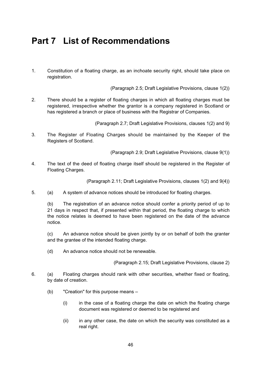# **Part 7 List of Recommendations**

1. Constitution of a floating charge, as an inchoate security right, should take place on registration.

(Paragraph 2.5; Draft Legislative Provisions, clause 1(2))

2. There should be a register of floating charges in which all floating charges must be registered, irrespective whether the grantor is a company registered in Scotland or has registered a branch or place of business with the Registrar of Companies.

(Paragraph 2.7; Draft Legislative Provisions, clauses 1(2) and 9)

3. The Register of Floating Charges should be maintained by the Keeper of the Registers of Scotland.

(Paragraph 2.9; Draft Legislative Provisions, clause 9(1))

4. The text of the deed of floating charge itself should be registered in the Register of Floating Charges.

(Paragraph 2.11; Draft Legislative Provisions, clauses 1(2) and 9(4))

5. (a) A system of advance notices should be introduced for floating charges.

(b) The registration of an advance notice should confer a priority period of up to 21 days in respect that, if presented within that period, the floating charge to which the notice relates is deemed to have been registered on the date of the advance notice.

(c) An advance notice should be given jointly by or on behalf of both the granter and the grantee of the intended floating charge.

(d) An advance notice should not be renewable.

(Paragraph 2.15; Draft Legislative Provisions, clause 2)

- 6. (a) Floating charges should rank with other securities, whether fixed or floating, by date of creation.
	- (b) "Creation" for this purpose means  $-$ 
		- (i) in the case of a floating charge the date on which the floating charge document was registered or deemed to be registered and
		- $(iii)$  in any other case, the date on which the security was constituted as a real right.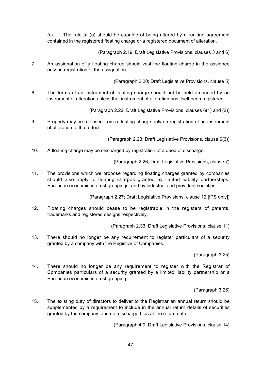(c) The rule at (a) should be capable of being altered by a ranking agreement contained in the registered floating charge or a registered document of alteration.

(Paragraph 2.19; Draft Legislative Provisions, clauses 3 and 6)

7. An assignation of a floating charge should vest the floating charge in the assignee only on registration of the assignation.

(Paragraph 2.20; Draft Legislative Provisions, clause 5)

8. The terms of an instrument of floating charge should not be held amended by an instrument of alteration unless that instrument of alteration has itself been registered.

(Paragraph 2.22; Draft Legislative Provisions, clauses 6(1) and (2))

9. Property may be released from a floating charge only on registration of an instrument of alteration to that effect.

(Paragraph 2.23; Draft Legislative Provisions, clause 6(3))

10. A floating charge may be discharged by registration of a deed of discharge.

(Paragraph 2.26; Draft Legislative Provisions, clause 7)

11. The provisions which we propose regarding floating charges granted by companies should also apply to floating charges granted by limited liability partnerships; European economic interest groupings; and by industrial and provident societies.

(Paragraph 2.27; Draft Legislative Provisions, clause 12 [IPS only])

12. Floating charges should cease to be registrable in the registers of patents, trademarks and registered designs respectively.

(Paragraph 2.33; Draft Legislative Provisions, clause 11)

13. There should no longer be any requirement to register particulars of a security granted by a company with the Registrar of Companies.

(Paragraph 3.25)

14. There should no longer be any requirement to register with the Registrar of Companies particulars of a security granted by a limited liability partnership or a European economic interest grouping.

(Paragraph 3.26)

15. The existing duty of directors to deliver to the Registrar an annual return should be supplemented by a requirement to include in the annual return details of securities granted by the company, and not discharged, as at the return date.

(Paragraph 4.9; Draft Legislative Provisions, clause 14)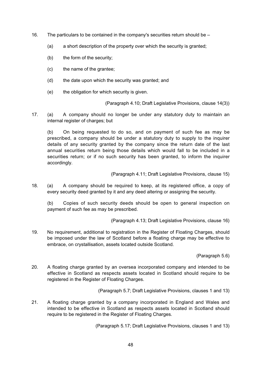- 16. The particulars to be contained in the company's securities return should be  $-$ 
	- (a) a short description of the property over which the security is granted;
	- (b) the form of the security;
	- (c) the name of the grantee;
	- (d) the date upon which the security was granted; and
	- (e) the obligation for which security is given.

(Paragraph 4.10; Draft Legislative Provisions, clause 14(3))

17. (a) A company should no longer be under any statutory duty to maintain an internal register of charges; but

(b) On being requested to do so, and on payment of such fee as may be prescribed, a company should be under a statutory duty to supply to the inquirer details of any security granted by the company since the return date of the last annual securities return being those details which would fall to be included in a securities return; or if no such security has been granted, to inform the inquirer accordingly.

(Paragraph 4.11; Draft Legislative Provisions, clause 15)

18. (a) A company should be required to keep, at its registered office, a copy of every security deed granted by it and any deed altering or assigning the security.

(b) Copies of such security deeds should be open to general inspection on payment of such fee as may be prescribed.

(Paragraph 4.13; Draft Legislative Provisions, clause 16)

19. No requirement, additional to registration in the Register of Floating Charges, should be imposed under the law of Scotland before a floating charge may be effective to embrace, on crystallisation, assets located outside Scotland.

(Paragraph 5.6)

20. A floating charge granted by an oversea incorporated company and intended to be effective in Scotland as respects assets located in Scotland should require to be registered in the Register of Floating Charges.

(Paragraph 5.7; Draft Legislative Provisions, clauses 1 and 13)

21. A floating charge granted by a company incorporated in England and Wales and intended to be effective in Scotland as respects assets located in Scotland should require to be registered in the Register of Floating Charges.

(Paragraph 5.17; Draft Legislative Provisions, clauses 1 and 13)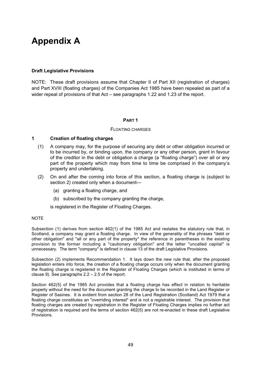# **Appendix A**

# **Draft Legislative Provisions**

NOTE: These draft provisions assume that Chapter II of Part XII (registration of charges) and Part XVIII (floating charges) of the Companies Act 1985 have been repealed as part of a wider repeal of provisions of that Act – see paragraphs 1.22 and 1.23 of the report.

## **PART 1**

#### FLOATING CHARGES

## **1 Creation of floating charges**

- (1) A company may, for the purpose of securing any debt or other obligation incurred or to be incurred by, or binding upon, the company or any other person, grant in favour of the creditor in the debt or obligation a charge (a "floating charge") over all or any part of the property which may from time to time be comprised in the company's property and undertaking.
- (2) On and after the coming into force of this section, a floating charge is (subject to section 2) created only when a document—
	- (a) granting a floating charge, and
	- (b) subscribed by the company granting the charge,

is registered in the Register of Floating Charges.

#### NOTE

Subsection (1) derives from section 462(1) of the 1985 Act and restates the statutory rule that, in Scotland, a company may grant a floating charge. In view of the generality of the phrases "debt or other obligation" and "all or any part of the property" the reference in parentheses in the existing provision to the former including a "cautionary obligation" and the latter "uncalled capital" is unnecessary. The term "company" is defined in clause 13 of the draft Legislative Provisions.

Subsection (2) implements Recommendation 1. It lays down the new rule that, after the proposed legislation enters into force, the creation of a floating charge occurs only when the document granting the floating charge is registered in the Register of Floating Charges (which is instituted in terms of clause 9). See paragraphs 2.2 – 2.5 of the report.

Section 462(5) of the 1985 Act provides that a floating charge has effect in relation to heritable property without the need for the document granting the charge to be recorded in the Land Register or Register of Sasines. It is evident from section 28 of the Land Registration (Scotland) Act 1979 that a floating charge constitutes an "overriding interest" and is not a registrable interest. The provision that floating charges are created by registration in the Register of Floating Charges implies no further act of registration is required and the terms of section 462(5) are not re-enacted in these draft Legislative Provisions.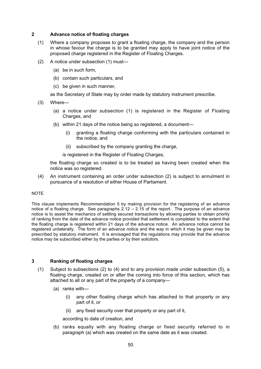## **2 Advance notice of floating charges**

- (1) Where a company proposes to grant a floating charge, the company and the person in whose favour the charge is to be granted may apply to have joint notice of the proposed charge registered in the Register of Floating Charges.
- (2) A notice under subsection (1) must—
	- (a) be in such form,
	- (b) contain such particulars, and
	- (c) be given in such manner,

as the Secretary of State may by order made by statutory instrument prescribe.

- (3) Where—
	- (a) a notice under subsection (1) is registered in the Register of Floating Charges, and
	- (b) within 21 days of the notice being so registered, a document
		- granting a floating charge conforming with the particulars contained in the notice, and
		- (ii) subscribed by the company granting the charge,

is registered in the Register of Floating Charges,

the floating charge so created is to be treated as having been created when the notice was so registered.

(4) An instrument containing an order under subsection (2) is subject to annulment in pursuance of a resolution of either House of Parliament.

#### NOTE

This clause implements Recommendation 5 by making provision for the registering of an advance notice of a floating charge. See paragraphs  $2.12 - 2.15$  of the report. The purpose of an advance notice is to assist the mechanics of settling secured transactions by allowing parties to obtain priority of ranking from the date of the advance notice provided that settlement is completed to the extent that the floating charge is registered within 21 days of the advance notice. An advance notice cannot be registered unilaterally. The form of an advance notice and the way in which it may be given may be prescribed by statutory instrument. It is envisaged that the regulations may provide that the advance notice may be subscribed either by the parties or by their solicitors.

#### **3 Ranking of floating charges**

- (1) Subject to subsections (2) to (4) and to any provision made under subsection (5), a floating charge, created on or after the coming into force of this section, which has attached to all or any part of the property of a company—
	- (a) ranks with—
		- (i) any other floating charge which has attached to that property or any part of it, or
		- (ii) any fixed security over that property or any part of it,

according to date of creation, and

(b) ranks equally with any floating charge or fixed security referred to in paragraph (a) which was created on the same date as it was created.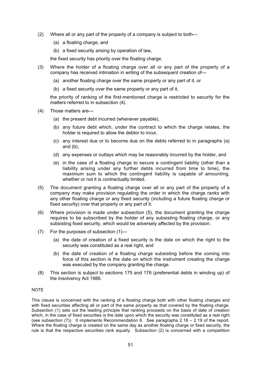- (2) Where all or any part of the property of a company is subject to both—
	- (a) a floating charge, and
	- (b) a fixed security arising by operation of law,

the fixed security has priority over the floating charge.

- (3) Where the holder of a floating charge over all or any part of the property of a company has received intimation in writing of the subsequent creation of—
	- (a) another floating charge over the same property or any part of it, or
	- (b) a fixed security over the same property or any part of it,

the priority of ranking of the first-mentioned charge is restricted to security for the matters referred to in subsection (4).

- (4) Those matters are—
	- (a) the present debt incurred (whenever payable),
	- (b) any future debt which, under the contract to which the charge relates, the holder is required to allow the debtor to incur,
	- (c) any interest due or to become due on the debts referred to in paragraphs (a) and (b),
	- (d) any expenses or outlays which may be reasonably incurred by the holder, and
	- (e) in the case of a floating charge to secure a contingent liability (other than a liability arising under any further debts incurred from time to time), the maximum sum to which the contingent liability is capable of amounting, whether or not it is contractually limited.
- (5) The document granting a floating charge over all or any part of the property of a company may make provision regulating the order in which the charge ranks with any other floating charge or any fixed security (including a future floating charge or fixed security) over that property or any part of it.
- (6) Where provision is made under subsection (5), the document granting the charge requires to be subscribed by the holder of any subsisting floating charge, or any subsisting fixed security, which would be adversely affected by the provision.
- $(7)$  For the purposes of subsection  $(1)$ 
	- (a) the date of creation of a fixed security is the date on which the right to the security was constituted as a real right, and
	- (b) the date of creation of a floating charge subsisting before the coming into force of this section is the date on which the instrument creating the charge was executed by the company granting the charge.
- (8) This section is subject to sections 175 and 176 (preferential debts in winding up) of the Insolvency Act 1986.

#### NOTE

This clause is concerned with the ranking of a floating charge both with other floating charges and with fixed securities affecting all or part of the same property as that covered by the floating charge. Subsection (1) sets out the leading principle that ranking proceeds on the basis of date of creation which, in the case of fixed securities is the date upon which the security was constituted as a real right (see subsection  $(7)$ ). It implements Recommendation 6. See paragraphs  $2.16 - 2.19$  of the report. Where the floating charge is created on the same day as another floating charge or fixed security, the rule is that the respective securities rank equally. Subsection (2) is concerned with a competition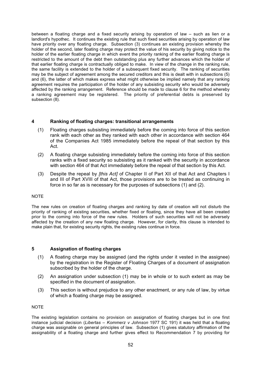between a floating charge and a fixed security arising by operation of law – such as lien or a landlord's hypothec. It continues the existing rule that such fixed securities arising by operation of law have priority over any floating charge. Subsection (3) continues an existing provision whereby the holder of the second, later floating charge may protect the value of his security by giving notice to the holder of the earlier floating charge in which event the priority ranking of the earlier floating charge is restricted to the amount of the debt then outstanding plus any further advances which the holder of that earlier floating charge is contractually obliged to make. In view of the change in the ranking rule, the same facility is extended to the holder of a subsequent fixed security. The ranking of securities may be the subject of agreement among the secured creditors and this is dealt with in subsections (5) and (6), the latter of which makes express what might otherwise be implied namely that any ranking agreement requires the participation of the holder of any subsisting security who would be adversely affected by the ranking arrangement. Reference should be made to clause 6 for the method whereby a ranking agreement may be registered. The priority of preferential debts is preserved by subsection (8).

# **4 Ranking of floating charges: transitional arrangements**

- (1) Floating charges subsisting immediately before the coming into force of this section rank with each other as they ranked with each other in accordance with section 464 of the Companies Act 1985 immediately before the repeal of that section by this Act.
- (2) A floating charge subsisting immediately before the coming into force of this section ranks with a fixed security so subsisting as it ranked with the security in accordance with section 464 of that Act immediately before the repeal of that section by this Act.
- (3) Despite the repeal by *[this Act]* of Chapter II of Part XII of that Act and Chapters I and III of Part XVIII of that Act, those provisions are to be treated as continuing in force in so far as is necessary for the purposes of subsections (1) and (2).

#### NOTE

The new rules on creation of floating charges and ranking by date of creation will not disturb the priority of ranking of existing securities, whether fixed or floating, since they have all been created prior to the coming into force of the new rules. Holders of such securities will not be adversely affected by the creation of any new floating charge. However, for clarity, this clause is intended to make plain that, for existing security rights, the existing rules continue in force.

#### **5 Assignation of floating charges**

- (1) A floating charge may be assigned (and the rights under it vested in the assignee) by the registration in the Register of Floating Charges of a document of assignation subscribed by the holder of the charge.
- (2) An assignation under subsection (1) may be in whole or to such extent as may be specified in the document of assignation.
- (3) This section is without prejudice to any other enactment, or any rule of law, by virtue of which a floating charge may be assigned.

#### NOTE

The existing legislation contains no provision on assignation of floating charges but in one first instance judicial decision (*Libertas – Kommerz v Johnson* 1977 SC 191) it was held that a floating charge was assignable on general principles of law. Subsection (1) gives statutory affirmation of the assignability of a floating charge and further gives effect to Recommendation 7 by providing for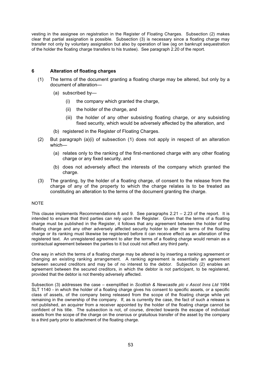vesting in the assignee on registration in the Register of Floating Charges. Subsection (2) makes clear that partial assignation is possible. Subsection (3) is necessary since a floating charge may transfer not only by voluntary assignation but also by operation of law (eg on bankrupt sequestration of the holder the floating charge transfers to his trustee). See paragraph 2.20 of the report.

## **6 Alteration of floating charges**

- (1) The terms of the document granting a floating charge may be altered, but only by a document of alteration—
	- (a) subscribed by—
		- (i) the company which granted the charge,
		- (ii) the holder of the charge, and
		- (iii) the holder of any other subsisting floating charge, or any subsisting fixed security, which would be adversely affected by the alteration, and
	- (b) registered in the Register of Floating Charges.
- (2) But paragraph (a)(i) of subsection (1) does not apply in respect of an alteration which—
	- (a) relates only to the ranking of the first-mentioned charge with any other floating charge or any fixed security, and
	- (b) does not adversely affect the interests of the company which granted the charge.
- (3) The granting, by the holder of a floating charge, of consent to the release from the charge of any of the property to which the charge relates is to be treated as constituting an alteration to the terms of the document granting the charge.

#### NOTE

This clause implements Recommendations 8 and 9. See paragraphs 2.21 – 2.23 of the report. It is intended to ensure that third parties can rely upon the Register. Given that the terms of a floating charge must be published in the Register, it follows that any agreement between the holder of the floating charge and any other adversely affected security holder to alter the terms of the floating charge or its ranking must likewise be registered before it can receive effect as an alteration of the registered text. An unregistered agreement to alter the terms of a floating charge would remain as a contractual agreement between the parties to it but could not affect any third party.

One way in which the terms of a floating charge may be altered is by inserting a ranking agreement or changing an existing ranking arrangement. A ranking agreement is essentially an agreement between secured creditors and may be of no interest to the debtor. Subjection (2) enables an agreement between the secured creditors, in which the debtor is not participant, to be registered, provided that the debtor is not thereby adversely affected.

Subsection (3) addresses the case – exemplified in *Scottish & Newcastle plc v Ascot Inns Ltd* 1994 SLT 1140 - in which the holder of a floating charge gives his consent to specific assets, or a specific class of assets, of the company being released from the scope of the floating charge while yet remaining in the ownership of the company. If, as is currently the case, the fact of such a release is not published, an acquirer from a receiver appointed by the holder of the floating charge cannot be confident of his title. The subsection is not, of course, directed towards the escape of individual assets from the scope of the charge on the onerous or gratuitous transfer of the asset by the company to a third party prior to attachment of the floating charge.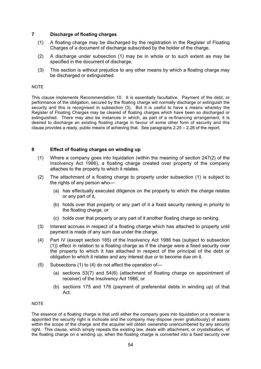# **7 Discharge of floating charges**

- (1) A floating charge may be discharged by the registration in the Register of Floating Charges of a document of discharge subscribed by the holder of the charge.
- (2) A discharge under subsection (1) may be in whole or to such extent as may be specified in the document of discharge.
- (3) This section is without prejudice to any other means by which a floating charge may be discharged or extinguished.

#### NOTE

This clause implements Recommendation 10. It is essentially facultative. Payment of the debt, or performance of the obligation, secured by the floating charge will normally discharge or extinguish the security and this is recognised in subsection (3). But it is useful to have a means whereby the Register of Floating Charges may be cleared of floating charges which have been so discharged or extinguished. There may also be instances in which, as part of a re-financing arrangement, it is desired to discharge an existing floating charge in favour of some other form of security and this clause provides a ready, public means of achieving that. See paragraphs 2.25 – 2.26 of the report.

#### **8 Effect of floating charges on winding up**

- (1) Where a company goes into liquidation (within the meaning of section  $247(2)$  of the Insolvency Act 1986), a floating charge created over property of the company attaches to the property to which it relates.
- (2) The attachment of a floating charge to property under subsection (1) is subject to the rights of any person who—
	- (a) has effectually executed diligence on the property to which the charge relates or any part of it,
	- (b) holds over that property or any part of it a fixed security ranking in priority to the floating charge, or
	- (c) holds over that property or any part of it another floating charge so ranking.
- (3) Interest accrues in respect of a floating charge which has attached to property until payment is made of any sum due under the charge.
- (4) Part IV (except section 185) of the Insolvency Act 1986 has (subject to subsection (1)) effect in relation to a floating charge as if the charge were a fixed security over the property to which it has attached in respect of the principal of the debt or obligation to which it relates and any interest due or to become due on it.
- (5) Subsections (1) to (4) do not affect the operation of-
	- (a) sections 53(7) and 54(6) (attachment of floating charge on appointment of receiver) of the Insolvency Act 1986, or
	- (b) sections 175 and 176 (payment of preferential debts in winding up) of that Act.

#### NOTE

The essence of a floating charge is that until either the company goes into liquidation or a receiver is appointed the security right is inchoate and the company may dispose (even gratuitously) of assets within the scope of the charge and the acquirer will obtain ownership unencumbered by any security right. This clause, which simply repeats the existing law, deals with attachment, or crystallisation, of the floating charge on a winding up, when the floating charge is converted into a fixed security over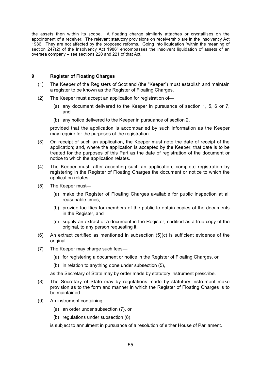the assets then within its scope. A floating charge similarly attaches or crystallises on the appointment of a receiver. The relevant statutory provisions on receivership are in the Insolvency Act 1986. They are not affected by the proposed reforms. Going into liquidation "within the meaning of section 247(2) of the Insolvency Act 1986" encompasses the insolvent liquidation of assets of an oversea company – see sections 220 and 221 of that Act.

## **9 Register of Floating Charges**

- (1) The Keeper of the Registers of Scotland (the "Keeper") must establish and maintain a register to be known as the Register of Floating Charges.
- (2) The Keeper must accept an application for registration of—
	- (a) any document delivered to the Keeper in pursuance of section 1, 5, 6 or 7, and
	- (b) any notice delivered to the Keeper in pursuance of section 2,

provided that the application is accompanied by such information as the Keeper may require for the purposes of the registration.

- (3) On receipt of such an application, the Keeper must note the date of receipt of the application; and, where the application is accepted by the Keeper, that date is to be treated for the purposes of this Part as the date of registration of the document or notice to which the application relates.
- (4) The Keeper must, after accepting such an application, complete registration by registering in the Register of Floating Charges the document or notice to which the application relates.
- (5) The Keeper must—
	- (a) make the Register of Floating Charges available for public inspection at all reasonable times,
	- (b) provide facilities for members of the public to obtain copies of the documents in the Register, and
	- (c) supply an extract of a document in the Register, certified as a true copy of the original, to any person requesting it.
- (6) An extract certified as mentioned in subsection (5)(c) is sufficient evidence of the original.
- (7) The Keeper may charge such fees—
	- (a) for registering a document or notice in the Register of Floating Charges, or
	- (b) in relation to anything done under subsection (5),

as the Secretary of State may by order made by statutory instrument prescribe.

- (8) The Secretary of State may by regulations made by statutory instrument make provision as to the form and manner in which the Register of Floating Charges is to be maintained.
- (9) An instrument containing—
	- (a) an order under subsection (7), or
	- (b) regulations under subsection (8),

is subject to annulment in pursuance of a resolution of either House of Parliament.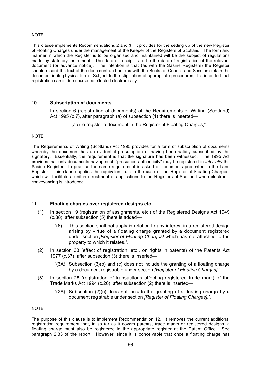#### NOTE

This clause implements Recommendations 2 and 3. It provides for the setting up of the new Register of Floating Charges under the management of the Keeper of the Registers of Scotland. The form and manner in which the Register is to be organised and maintained will be the subject of regulations made by statutory instrument. The date of receipt is to be the date of registration of the relevant document (or advance notice). The intention is that (as with the Sasine Registers) the Register should record the text of the document and not (as with the Books of Council and Session) retain the document in its physical form. Subject to the stipulation of appropriate procedures, it is intended that registration can in due course be effected electronically.

#### **10 Subscription of documents**

In section 6 (registration of documents) of the Requirements of Writing (Scotland) Act 1995 (c.7), after paragraph (a) of subsection (1) there is inserted—

"(aa) to register a document in the Register of Floating Charges;".

#### NOTE

The Requirements of Writing (Scotland) Act 1995 provides for a form of subscription of documents whereby the document has an evidential presumption of having been validly subscribed by the signatory. Essentially, the requirement is that the signature has been witnessed. The 1995 Act provides that only documents having such "presumed authenticity" may be registered in *inter alia* the Sasine Register. In practice the same requirement is asked of documents presented to the Land Register. This clause applies the equivalent rule in the case of the Register of Floating Charges, which will facilitate a uniform treatment of applications to the Registers of Scotland when electronic conveyancing is introduced.

#### **11 Floating charges over registered designs etc.**

- (1) In section 19 (registration of assignments, etc.) of the Registered Designs Act 1949 (c.88), after subsection (5) there is added—
	- "(6) This section shall not apply in relation to any interest in a registered design arising by virtue of a floating charge granted by a document registered under section *[Register of Floating Charges]* which has not attached to the property to which it relates.".
- (2) In section 33 (effect of registration, etc., on rights in patents) of the Patents Act 1977 (c.37), after subsection (3) there is inserted—
	- " $(3)$  Subsection  $(3)$ (b) and (c) does not include the granting of a floating charge by a document registrable under section *[Register of Floating Charges]*.".
- (3) In section 25 (registration of transactions affecting registered trade mark) of the Trade Marks Act 1994 (c.26), after subsection (2) there is inserted—
	- "(2A) Subsection (2)(c) does not include the granting of a floating charge by a document registrable under section *[Register of Floating Charges]*.".

#### NOTE

The purpose of this clause is to implement Recommendation 12. It removes the current additional registration requirement that, in so far as it covers patents, trade marks or registered designs, a floating charge must also be registered in the appropriate register at the Patent Office. See paragraph 2.33 of the report. However, since it is conceivable that once a floating charge has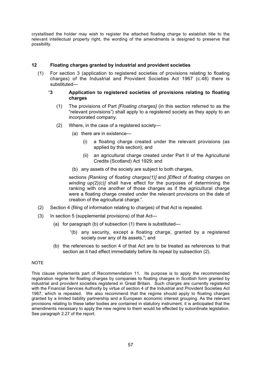crystallised the holder may wish to register the attached floating charge to establish title to the relevant intellectual property right, the wording of the amendments is designed to preserve that possibility.

# **12 Floating charges granted by industrial and provident societies**

(1) For section 3 (application to registered societies of provisions relating to floating charges) of the Industrial and Provident Societies Act 1967 (c.48) there is substituted—

#### "**3 Application to registered societies of provisions relating to floating charges**

- (1) The provisions of Part *[Floating charges]* (in this section referred to as the "relevant provisions") shall apply to a registered society as they apply to an incorporated company.
- (2) Where, in the case of a registered society—
	- (a) there are in existence—
		- (i) a floating charge created under the relevant provisions (as applied by this section); and
		- (ii) an agricultural charge created under Part II of the Agricultural Credits (Scotland) Act 1929; and
	- (b) any assets of the society are subject to both charges,

sections *[Ranking of floating charges(1)]* and *[Effect of floating charges on winding up(2)(c)]* shall have effect for the purposes of determining the ranking with one another of those charges as if the agricultural charge were a floating charge created under the relevant provisions on the date of creation of the agricultural charge.".

- (2) Section 4 (filing of information relating to charges) of that Act is repealed.
- (3) In section 5 (supplemental provisions) of that Act—
	- (a) for paragraph (b) of subsection (1) there is substituted—
		- "(b) any security, except a floating charge, granted by a registered society over any of its assets,"; and
	- (b) the references to section 4 of that Act are to be treated as references to that section as it had effect immediately before its repeal by subsection (2).

#### NOTE

This clause implements part of Recommendation 11. Its purpose is to apply the recommended registration regime for floating charges by companies to floating charges in Scottish form granted by industrial and provident societies registered in Great Britain. Such charges are currently registered with the Financial Services Authority by virtue of section 4 of the Industrial and Provident Societies Act 1967, which is repealed. We also recommend that the regime should apply to floating charges granted by a limited liability partnership and a European economic interest grouping. As the relevant provisions relating to these latter bodies are contained in statutory instrument, it is anticipated that the amendments necessary to apply the new regime to them would be effected by subordinate legislation. See paragraph 2.27 of the report.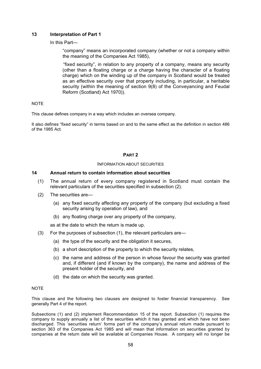# **13 Interpretation of Part 1**

In this Part—

"company" means an incorporated company (whether or not a company within the meaning of the Companies Act 1985),

"fixed security", in relation to any property of a company, means any security (other than a floating charge or a charge having the character of a floating charge) which on the winding up of the company in Scotland would be treated as an effective security over that property including, in particular, a heritable security (within the meaning of section 9(8) of the Conveyancing and Feudal Reform (Scotland) Act 1970)).

#### NOTE

This clause defines company in a way which includes an oversea company.

It also defines "fixed security" in terms based on and to the same effect as the definition in section 486 of the 1985 Act.

## **PART 2**

#### INFORMATION ABOUT SECURITIES

#### **14 Annual return to contain information about securities**

- (1) The annual return of every company registered in Scotland must contain the relevant particulars of the securities specified in subsection (2).
- (2) The securities are—
	- (a) any fixed security affecting any property of the company (but excluding a fixed security arising by operation of law), and
	- (b) any floating charge over any property of the company,

as at the date to which the return is made up.

- $(3)$  For the purposes of subsection  $(1)$ , the relevant particulars are—
	- (a) the type of the security and the obligation it secures,
	- (b) a short description of the property to which the security relates,
	- (c) the name and address of the person in whose favour the security was granted and, if different (and if known by the company), the name and address of the present holder of the security, and
	- (d) the date on which the security was granted.

#### **NOTE**

This clause and the following two clauses are designed to foster financial transparency. See generally Part 4 of the report.

Subsections (1) and (2) implement Recommendation 15 of the report. Subsection (1) requires the company to supply annually a list of the securities which it has granted and which have not been discharged. This 'securities return' forms part of the company's annual return made pursuant to section 363 of the Companies Act 1985 and will mean that information on securities granted by companies at the return date will be available at Companies House. A company will no longer be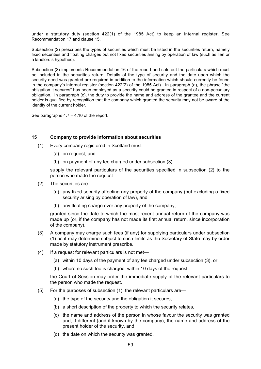under a statutory duty (section 422(1) of the 1985 Act) to keep an internal register. See Recommendation 17 and clause 15.

Subsection (2) prescribes the types of securities which must be listed in the securities return, namely fixed securities and floating charges but not fixed securities arising by operation of law (such as lien or a landlord's hypothec).

Subsection (3) implements Recommendation 16 of the report and sets out the particulars which must be included in the securities return. Details of the type of security and the date upon which the security deed was granted are required in addition to the information which should currently be found in the company's internal register (section 422(2) of the 1985 Act). In paragraph (a), the phrase "the obligation it secures" has been employed as a security could be granted in respect of a non-pecuniary obligation. In paragraph (c), the duty to provide the name and address of the grantee and the current holder is qualified by recognition that the company which granted the security may not be aware of the identity of the current holder.

See paragraphs 4.7 – 4.10 of the report.

#### **15 Company to provide information about securities**

- (1) Every company registered in Scotland must—
	- (a) on request, and
	- (b) on payment of any fee charged under subsection (3),

supply the relevant particulars of the securities specified in subsection (2) to the person who made the request.

- (2) The securities are—
	- (a) any fixed security affecting any property of the company (but excluding a fixed security arising by operation of law), and
	- (b) any floating charge over any property of the company,

granted since the date to which the most recent annual return of the company was made up (or, if the company has not made its first annual return, since incorporation of the company).

- (3) A company may charge such fees (if any) for supplying particulars under subsection (1) as it may determine subject to such limits as the Secretary of State may by order made by statutory instrument prescribe.
- (4) If a request for relevant particulars is not met—
	- (a) within 10 days of the payment of any fee charged under subsection (3), or
	- (b) where no such fee is charged, within 10 days of the request,

the Court of Session may order the immediate supply of the relevant particulars to the person who made the request.

- (5) For the purposes of subsection (1), the relevant particulars are—
	- (a) the type of the security and the obligation it secures,
	- (b) a short description of the property to which the security relates,
	- (c) the name and address of the person in whose favour the security was granted and, if different (and if known by the company), the name and address of the present holder of the security, and
	- (d) the date on which the security was granted.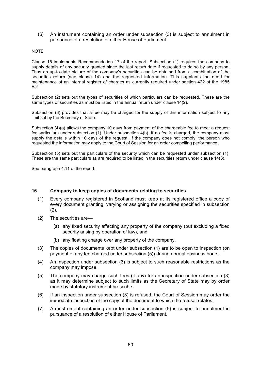(6) An instrument containing an order under subsection (3) is subject to annulment in pursuance of a resolution of either House of Parliament.

#### NOTE

Clause 15 implements Recommendation 17 of the report. Subsection (1) requires the company to supply details of any security granted since the last return date if requested to do so by any person. Thus an up-to-date picture of the company's securities can be obtained from a combination of the securities return (see clause 14) and the requested information. This supplants the need for maintenance of an internal register of charges as currently required under section 422 of the 1985 Act.

Subsection (2) sets out the types of securities of which particulars can be requested. These are the same types of securities as must be listed in the annual return under clause 14(2).

Subsection (3) provides that a fee may be charged for the supply of this information subject to any limit set by the Secretary of State.

Subsection (4)(a) allows the company 10 days from payment of the chargeable fee to meet a request for particulars under subsection (1). Under subsection 4(b), if no fee is charged, the company must supply the details within 10 days of the request. If the company does not comply, the person who requested the information may apply to the Court of Session for an order compelling performance.

Subsection (5) sets out the particulars of the security which can be requested under subsection (1). These are the same particulars as are required to be listed in the securities return under clause 14(3).

See paragraph 4.11 of the report.

#### **16 Company to keep copies of documents relating to securities**

- (1) Every company registered in Scotland must keep at its registered office a copy of every document granting, varying or assigning the securities specified in subsection  $(2).$
- (2) The securities are-
	- (a) any fixed security affecting any property of the company (but excluding a fixed security arising by operation of law), and
	- (b) any floating charge over any property of the company.
- (3) The copies of documents kept under subsection (1) are to be open to inspection (on payment of any fee charged under subsection (5)) during normal business hours.
- (4) An inspection under subsection (3) is subject to such reasonable restrictions as the company may impose.
- (5) The company may charge such fees (if any) for an inspection under subsection  $(3)$ as it may determine subject to such limits as the Secretary of State may by order made by statutory instrument prescribe.
- (6) If an inspection under subsection (3) is refused, the Court of Session may order the immediate inspection of the copy of the document to which the refusal relates.
- (7) An instrument containing an order under subsection (5) is subject to annulment in pursuance of a resolution of either House of Parliament.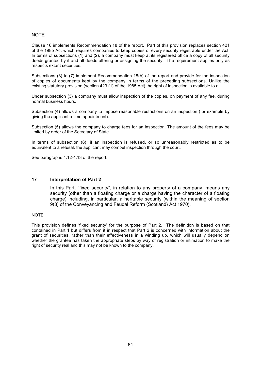#### **NOTE**

Clause 16 implements Recommendation 18 of the report. Part of this provision replaces section 421 of the 1985 Act which requires companies to keep copies of every security registrable under the Act. In terms of subsections (1) and (2), a company must keep at its registered office a copy of all security deeds granted by it and all deeds altering or assigning the security. The requirement applies only as respects extant securities.

Subsections (3) to (7) implement Recommendation 18(b) of the report and provide for the inspection of copies of documents kept by the company in terms of the preceding subsections. Unlike the existing statutory provision (section 423 (1) of the 1985 Act) the right of inspection is available to all.

Under subsection (3) a company must allow inspection of the copies, on payment of any fee, during normal business hours.

Subsection (4) allows a company to impose reasonable restrictions on an inspection (for example by giving the applicant a time appointment).

Subsection (5) allows the company to charge fees for an inspection. The amount of the fees may be limited by order of the Secretary of State.

In terms of subsection (6), if an inspection is refused, or so unreasonably restricted as to be equivalent to a refusal, the applicant may compel inspection through the court.

See paragraphs 4.12-4.13 of the report.

#### **17 Interpretation of Part 2**

In this Part, "fixed security", in relation to any property of a company, means any security (other than a floating charge or a charge having the character of a floating charge) including, in particular, a heritable security (within the meaning of section 9(8) of the Conveyancing and Feudal Reform (Scotland) Act 1970).

# **NOTE**

This provision defines 'fixed security' for the purpose of Part 2. The definition is based on that contained in Part 1 but differs from it in respect that Part 2 is concerned with information about the grant of securities, rather than their effectiveness in a winding up, which will usually depend on whether the grantee has taken the appropriate steps by way of registration or intimation to make the right of security real and this may not be known to the company.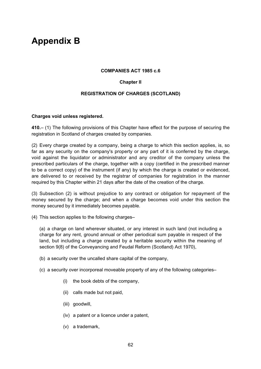# **Appendix B**

#### **COMPANIES ACT 1985 c.6**

# **Chapter II**

# **REGISTRATION OF CHARGES (SCOTLAND)**

## **Charges void unless registered.**

**410.**– (1) The following provisions of this Chapter have effect for the purpose of securing the registration in Scotland of charges created by companies.

(2) Every charge created by a company, being a charge to which this section applies, is, so far as any security on the company's property or any part of it is conferred by the charge, void against the liquidator or administrator and any creditor of the company unless the prescribed particulars of the charge, together with a copy (certified in the prescribed manner to be a correct copy) of the instrument (if any) by which the charge is created or evidenced, are delivered to or received by the registrar of companies for registration in the manner required by this Chapter within 21 days after the date of the creation of the charge.

(3) Subsection (2) is without prejudice to any contract or obligation for repayment of the money secured by the charge; and when a charge becomes void under this section the money secured by it immediately becomes payable.

(4) This section applies to the following charges–

(a) a charge on land wherever situated, or any interest in such land (not including a charge for any rent, ground annual or other periodical sum payable in respect of the land, but including a charge created by a heritable security within the meaning of section 9(8) of the Conveyancing and Feudal Reform (Scotland) Act 1970),

- (b) a security over the uncalled share capital of the company,
- (c) a security over incorporeal moveable property of any of the following categories–
	- (i) the book debts of the company,
	- (ii) calls made but not paid,
	- (iii) goodwill,
	- (iv) a patent or a licence under a patent,
	- (v) a trademark,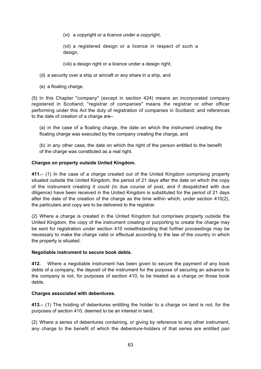(vi) a copyright or a licence under a copyright,

(vii) a registered design or a licence in respect of such a design,

(viii) a design right or a licence under a design right,

- (d) a security over a ship or aircraft or any share in a ship, and
- (e) a floating charge.

(5) In this Chapter "company" (except in section 424) means an incorporated company registered in Scotland; "registrar of companies" means the registrar or other officer performing under this Act the duty of registration of companies in Scotland; and references to the date of creation of a charge are–

(a) in the case of a floating charge, the date on which the instrument creating the floating charge was executed by the company creating the charge, and

(b) in any other case, the date on which the right of the person entitled to the benefit of the charge was constituted as a real right.

# **Charges on property outside United Kingdom.**

**411.**– (1) In the case of a charge created out of the United Kingdom comprising property situated outside the United Kingdom, the period of 21 days after the date on which the copy of the instrument creating it could (in due course of post, and if despatched with due diligence) have been received in the United Kingdom is substituted for the period of 21 days after the date of the creation of the charge as the time within which, under section 410(2), the particulars and copy are to be delivered to the registrar.

(2) Where a charge is created in the United Kingdom but comprises property outside the United Kingdom, the copy of the instrument creating or purporting to create the charge may be sent for registration under section 410 notwithstanding that further proceedings may be necessary to make the charge valid or effectual according to the law of the country in which the property is situated.

# **Negotiable instrument to secure book debts.**

**412.** Where a negotiable instrument has been given to secure the payment of any book debts of a company, the deposit of the instrument for the purpose of securing an advance to the company is not, for purposes of section 410, to be treated as a charge on those book debts.

# **Charges associated with debentures.**

**413.**– (1) The holding of debentures entitling the holder to a charge on land is not, for the purposes of section 410, deemed to be an interest in land.

(2) Where a series of debentures containing, or giving by reference to any other instrument, any charge to the benefit of which the debenture-holders of that series are entitled pari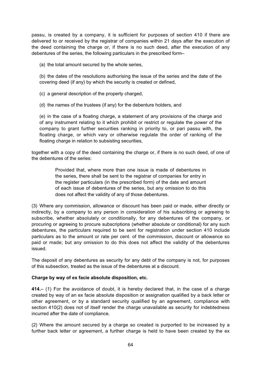passu, is created by a company, it is sufficient for purposes of section 410 if there are delivered to or received by the registrar of companies within 21 days after the execution of the deed containing the charge or, if there is no such deed, after the execution of any debentures of the series, the following particulars in the prescribed form–

(a) the total amount secured by the whole series,

(b) the dates of the resolutions authorising the issue of the series and the date of the covering deed (if any) by which the security is created or defined,

- (c) a general description of the property charged,
- (d) the names of the trustees (if any) for the debenture holders, and

(e) in the case of a floating charge, a statement of any provisions of the charge and of any instrument relating to it which prohibit or restrict or regulate the power of the company to grant further securities ranking in priority to, or pari passu with, the floating charge, or which vary or otherwise regulate the order of ranking of the floating charge in relation to subsisting securities,

together with a copy of the deed containing the charge or, if there is no such deed, of one of the debentures of the series:

> Provided that, where more than one issue is made of debentures in the series, there shall be sent to the registrar of companies for entry in the register particulars (in the prescribed form) of the date and amount of each issue of debentures of the series, but any omission to do this does not affect the validity of any of those debentures.

(3) Where any commission, allowance or discount has been paid or made, either directly or indirectly, by a company to any person in consideration of his subscribing or agreeing to subscribe, whether absolutely or conditionally, for any debentures of the company, or procuring or agreeing to procure subscriptions (whether absolute or conditional) for any such debentures, the particulars required to be sent for registration under section 410 include particulars as to the amount or rate per cent. of the commission, discount or allowance so paid or made; but any omission to do this does not affect the validity of the debentures issued.

The deposit of any debentures as security for any debt of the company is not, for purposes of this subsection, treated as the issue of the debentures at a discount.

# **Charge by way of ex facie absolute disposition, etc.**

**414.**– (1) For the avoidance of doubt, it is hereby declared that, in the case of a charge created by way of an ex facie absolute disposition or assignation qualified by a back letter or other agreement, or by a standard security qualified by an agreement, compliance with section 410(2) does not of itself render the charge unavailable as security for indebtedness incurred after the date of compliance.

(2) Where the amount secured by a charge so created is purported to be increased by a further back letter or agreement, a further charge is held to have been created by the ex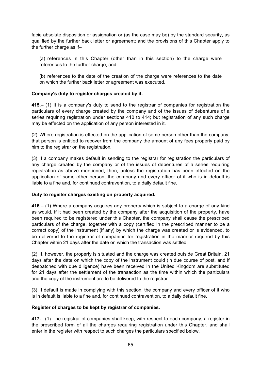facie absolute disposition or assignation or (as the case may be) by the standard security, as qualified by the further back letter or agreement; and the provisions of this Chapter apply to the further charge as if–

(a) references in this Chapter (other than in this section) to the charge were references to the further charge, and

(b) references to the date of the creation of the charge were references to the date on which the further back letter or agreement was executed.

# **Company's duty to register charges created by it.**

**415.**– (1) It is a company's duty to send to the registrar of companies for registration the particulars of every charge created by the company and of the issues of debentures of a series requiring registration under sections 410 to 414; but registration of any such charge may be effected on the application of any person interested in it.

(2) Where registration is effected on the application of some person other than the company, that person is entitled to recover from the company the amount of any fees properly paid by him to the registrar on the registration.

(3) If a company makes default in sending to the registrar for registration the particulars of any charge created by the company or of the issues of debentures of a series requiring registration as above mentioned, then, unless the registration has been effected on the application of some other person, the company and every officer of it who is in default is liable to a fine and, for continued contravention, to a daily default fine.

# **Duty to register charges existing on property acquired.**

**416.**– (1) Where a company acquires any property which is subject to a charge of any kind as would, if it had been created by the company after the acquisition of the property, have been required to be registered under this Chapter, the company shall cause the prescribed particulars of the charge, together with a copy (certified in the prescribed manner to be a correct copy) of the instrument (if any) by which the charge was created or is evidenced, to be delivered to the registrar of companies for registration in the manner required by this Chapter within 21 days after the date on which the transaction was settled.

(2) If, however, the property is situated and the charge was created outside Great Britain, 21 days after the date on which the copy of the instrument could (in due course of post, and if despatched with due diligence) have been received in the United Kingdom are substituted for 21 days after the settlement of the transaction as the time within which the particulars and the copy of the instrument are to be delivered to the registrar.

(3) If default is made in complying with this section, the company and every officer of it who is in default is liable to a fine and, for continued contravention, to a daily default fine.

# **Register of charges to be kept by registrar of companies.**

**417.**– (1) The registrar of companies shall keep, with respect to each company, a register in the prescribed form of all the charges requiring registration under this Chapter, and shall enter in the register with respect to such charges the particulars specified below.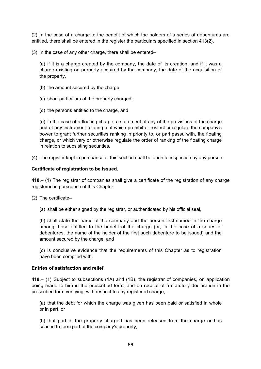(2) In the case of a charge to the benefit of which the holders of a series of debentures are entitled, there shall be entered in the register the particulars specified in section 413(2).

(3) In the case of any other charge, there shall be entered–

(a) if it is a charge created by the company, the date of its creation, and if it was a charge existing on property acquired by the company, the date of the acquisition of the property,

- (b) the amount secured by the charge,
- (c) short particulars of the property charged,
- (d) the persons entitled to the charge, and

(e) in the case of a floating charge, a statement of any of the provisions of the charge and of any instrument relating to it which prohibit or restrict or regulate the company's power to grant further securities ranking in priority to, or pari passu with, the floating charge, or which vary or otherwise regulate the order of ranking of the floating charge in relation to subsisting securities.

(4) The register kept in pursuance of this section shall be open to inspection by any person.

## **Certificate of registration to be issued.**

**418.**– (1) The registrar of companies shall give a certificate of the registration of any charge registered in pursuance of this Chapter.

(2) The certificate–

(a) shall be either signed by the registrar, or authenticated by his official seal,

(b) shall state the name of the company and the person first-named in the charge among those entitled to the benefit of the charge (or, in the case of a series of debentures, the name of the holder of the first such debenture to be issued) and the amount secured by the charge, and

(c) is conclusive evidence that the requirements of this Chapter as to registration have been complied with.

#### **Entries of satisfaction and relief.**

**419.**– (1) Subject to subsections (1A) and (1B), the registrar of companies, on application being made to him in the prescribed form, and on receipt of a statutory declaration in the prescribed form verifying, with respect to any registered charge,–

(a) that the debt for which the charge was given has been paid or satisfied in whole or in part, or

(b) that part of the property charged has been released from the charge or has ceased to form part of the company's property,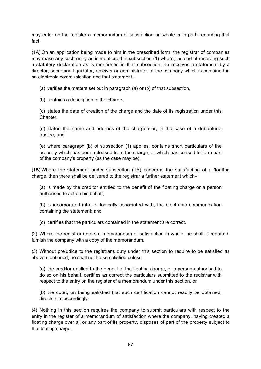may enter on the register a memorandum of satisfaction (in whole or in part) regarding that fact.

(1A) On an application being made to him in the prescribed form, the registrar of companies may make any such entry as is mentioned in subsection (1) where, instead of receiving such a statutory declaration as is mentioned in that subsection, he receives a statement by a director, secretary, liquidator, receiver or administrator of the company which is contained in an electronic communication and that statement–

(a) verifies the matters set out in paragraph (a) or (b) of that subsection,

(b) contains a description of the charge,

(c) states the date of creation of the charge and the date of its registration under this Chapter,

(d) states the name and address of the chargee or, in the case of a debenture, trustee, and

(e) where paragraph (b) of subsection (1) applies, contains short particulars of the property which has been released from the charge, or which has ceased to form part of the company's property (as the case may be).

(1B) Where the statement under subsection (1A) concerns the satisfaction of a floating charge, then there shall be delivered to the registrar a further statement which–

(a) is made by the creditor entitled to the benefit of the floating charge or a person authorised to act on his behalf;

(b) is incorporated into, or logically associated with, the electronic communication containing the statement; and

(c) certifies that the particulars contained in the statement are correct.

(2) Where the registrar enters a memorandum of satisfaction in whole, he shall, if required, furnish the company with a copy of the memorandum.

(3) Without prejudice to the registrar's duty under this section to require to be satisfied as above mentioned, he shall not be so satisfied unless–

(a) the creditor entitled to the benefit of the floating charge, or a person authorised to do so on his behalf, certifies as correct the particulars submitted to the registrar with respect to the entry on the register of a memorandum under this section, or

(b) the court, on being satisfied that such certification cannot readily be obtained, directs him accordingly.

(4) Nothing in this section requires the company to submit particulars with respect to the entry in the register of a memorandum of satisfaction where the company, having created a floating charge over all or any part of its property, disposes of part of the property subject to the floating charge.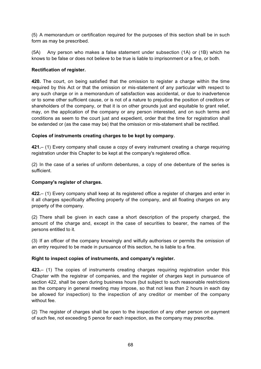(5) A memorandum or certification required for the purposes of this section shall be in such form as may be prescribed.

(5A) Any person who makes a false statement under subsection (1A) or (1B) which he knows to be false or does not believe to be true is liable to imprisonment or a fine, or both.

# **Rectification of register.**

**420.** The court, on being satisfied that the omission to register a charge within the time required by this Act or that the omission or mis-statement of any particular with respect to any such charge or in a memorandum of satisfaction was accidental, or due to inadvertence or to some other sufficient cause, or is not of a nature to prejudice the position of creditors or shareholders of the company, or that it is on other grounds just and equitable to grant relief, may, on the application of the company or any person interested, and on such terms and conditions as seem to the court just and expedient, order that the time for registration shall be extended or (as the case may be) that the omission or mis-statement shall be rectified.

## **Copies of instruments creating charges to be kept by company.**

**421.**– (1) Every company shall cause a copy of every instrument creating a charge requiring registration under this Chapter to be kept at the company's registered office.

(2) In the case of a series of uniform debentures, a copy of one debenture of the series is sufficient.

## **Company's register of charges.**

**422.**– (1) Every company shall keep at its registered office a register of charges and enter in it all charges specifically affecting property of the company, and all floating charges on any property of the company.

(2) There shall be given in each case a short description of the property charged, the amount of the charge and, except in the case of securities to bearer, the names of the persons entitled to it.

(3) If an officer of the company knowingly and wilfully authorises or permits the omission of an entry required to be made in pursuance of this section, he is liable to a fine.

#### **Right to inspect copies of instruments, and company's register.**

**423.**– (1) The copies of instruments creating charges requiring registration under this Chapter with the registrar of companies, and the register of charges kept in pursuance of section 422, shall be open during business hours (but subject to such reasonable restrictions as the company in general meeting may impose, so that not less than 2 hours in each day be allowed for inspection) to the inspection of any creditor or member of the company without fee

(2) The register of charges shall be open to the inspection of any other person on payment of such fee, not exceeding 5 pence for each inspection, as the company may prescribe.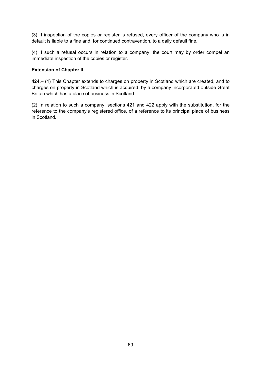(3) If inspection of the copies or register is refused, every officer of the company who is in default is liable to a fine and, for continued contravention, to a daily default fine.

(4) If such a refusal occurs in relation to a company, the court may by order compel an immediate inspection of the copies or register.

# **Extension of Chapter II.**

**424.**– (1) This Chapter extends to charges on property in Scotland which are created, and to charges on property in Scotland which is acquired, by a company incorporated outside Great Britain which has a place of business in Scotland.

(2) In relation to such a company, sections 421 and 422 apply with the substitution, for the reference to the company's registered office, of a reference to its principal place of business in Scotland.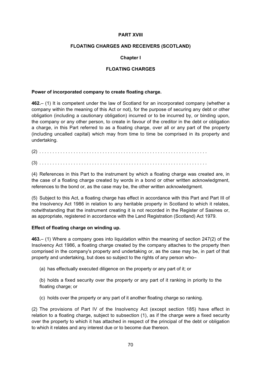# **PART XVIII**

# **FLOATING CHARGES AND RECEIVERS (SCOTLAND)**

# **Chapter I**

# **FLOATING CHARGES**

# **Power of incorporated company to create floating charge.**

**462.**– (1) It is competent under the law of Scotland for an incorporated company (whether a company within the meaning of this Act or not), for the purpose of securing any debt or other obligation (including a cautionary obligation) incurred or to be incurred by, or binding upon, the company or any other person, to create in favour of the creditor in the debt or obligation a charge, in this Part referred to as a floating charge, over all or any part of the property (including uncalled capital) which may from time to time be comprised in its property and undertaking.

| $\sim$ |  |  |  |  |  |  |  |  |  |  |  |  |  |  |  |  |  |  |  |  |  |  |  |  |  |  |  |  |  |  |  |
|--------|--|--|--|--|--|--|--|--|--|--|--|--|--|--|--|--|--|--|--|--|--|--|--|--|--|--|--|--|--|--|--|
|        |  |  |  |  |  |  |  |  |  |  |  |  |  |  |  |  |  |  |  |  |  |  |  |  |  |  |  |  |  |  |  |

(3) . . . . . . . . . . . . . . . . . . . . . . . . . . . . . . . . . . . . . . . . . . . . . . . . . . . . . . . . . . . . . . . .

(4) References in this Part to the instrument by which a floating charge was created are, in the case of a floating charge created by words in a bond or other written acknowledgment, references to the bond or, as the case may be, the other written acknowledgment.

(5) Subject to this Act, a floating charge has effect in accordance with this Part and Part III of the Insolvency Act 1986 in relation to any heritable property in Scotland to which it relates, notwithstanding that the instrument creating it is not recorded in the Register of Sasines or, as appropriate, registered in accordance with the Land Registration (Scotland) Act 1979.

# **Effect of floating charge on winding up.**

**463.**– (1) Where a company goes into liquidation within the meaning of section 247(2) of the Insolvency Act 1986, a floating charge created by the company attaches to the property then comprised in the company's property and undertaking or, as the case may be, in part of that property and undertaking, but does so subject to the rights of any person who–

(a) has effectually executed diligence on the property or any part of it; or

(b) holds a fixed security over the property or any part of it ranking in priority to the floating charge; or

(c) holds over the property or any part of it another floating charge so ranking.

(2) The provisions of Part IV of the Insolvency Act (except section 185) have effect in relation to a floating charge, subject to subsection (1), as if the charge were a fixed security over the property to which it has attached in respect of the principal of the debt or obligation to which it relates and any interest due or to become due thereon.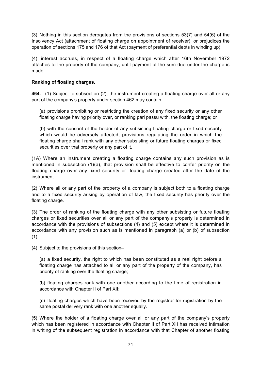(3) Nothing in this section derogates from the provisions of sections 53(7) and 54(6) of the Insolvency Act (attachment of floating charge on appointment of receiver), or prejudices the operation of sections 175 and 176 of that Act (payment of preferential debts in winding up).

(4) ,interest accrues, in respect of a floating charge which after 16th November 1972 attaches to the property of the company, until payment of the sum due under the charge is made.

# **Ranking of floating charges.**

**464.**– (1) Subject to subsection (2), the instrument creating a floating charge over all or any part of the company's property under section 462 may contain–

(a) provisions prohibiting or restricting the creation of any fixed security or any other floating charge having priority over, or ranking pari passu with, the floating charge; or

(b) with the consent of the holder of any subsisting floating charge or fixed security which would be adversely affected, provisions regulating the order in which the floating charge shall rank with any other subsisting or future floating charges or fixed securities over that property or any part of it.

(1A) Where an instrument creating a floating charge contains any such provision as is mentioned in subsection (1)(a), that provision shall be effective to confer priority on the floating charge over any fixed security or floating charge created after the date of the instrument.

(2) Where all or any part of the property of a company is subject both to a floating charge and to a fixed security arising by operation of law, the fixed security has priority over the floating charge.

(3) The order of ranking of the floating charge with any other subsisting or future floating charges or fixed securities over all or any part of the company's property is determined in accordance with the provisions of subsections (4) and (5) except where it is determined in accordance with any provision such as is mentioned in paragraph (a) or (b) of subsection  $(1).$ 

(4) Subject to the provisions of this section–

(a) a fixed security, the right to which has been constituted as a real right before a floating charge has attached to all or any part of the property of the company, has priority of ranking over the floating charge;

(b) floating charges rank with one another according to the time of registration in accordance with Chapter II of Part XII;

(c) floating charges which have been received by the registrar for registration by the same postal delivery rank with one another equally.

(5) Where the holder of a floating charge over all or any part of the company's property which has been registered in accordance with Chapter II of Part XII has received intimation in writing of the subsequent registration in accordance with that Chapter of another floating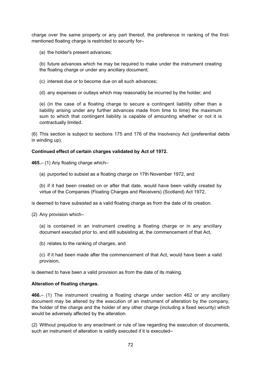charge over the same property or any part thereof, the preference in ranking of the firstmentioned floating charge is restricted to security for–

(a) the holder's present advances;

(b) future advances which he may be required to make under the instrument creating the floating charge or under any ancillary document;

(c) interest due or to become due on all such advances;

(d) any expenses or outlays which may reasonably be incurred by the holder; and

(e) (in the case of a floating charge to secure a contingent liability other than a liability arising under any further advances made from time to time) the maximum sum to which that contingent liability is capable of amounting whether or not it is contractually limited.

(6) This section is subject to sections 175 and 176 of the Insolvency Act (preferential debts in winding up).

# **Continued effect of certain charges validated by Act of 1972.**

**465.**– (1) Any floating charge which–

(a) purported to subsist as a floating charge on 17th November 1972, and

(b) if it had been created on or after that date, would have been validly created by virtue of the Companies (Floating Charges and Receivers) (Scotland) Act 1972,

is deemed to have subsisted as a valid floating charge as from the date of its creation.

(2) Any provision which–

(a) is contained in an instrument creating a floating charge or in any ancillary document executed prior to, and still subsisting at, the commencement of that Act,

(b) relates to the ranking of charges, and

(c) if it had been made after the commencement of that Act, would have been a valid provision,

is deemed to have been a valid provision as from the date of its making.

# **Alteration of floating charges.**

**466.**– (1) The instrument creating a floating charge under section 462 or any ancillary document may be altered by the execution of an instrument of alteration by the company, the holder of the charge and the holder of any other charge (including a fixed security) which would be adversely affected by the alteration.

(2) Without prejudice to any enactment or rule of law regarding the execution of documents, such an instrument of alteration is validly executed if it is executed–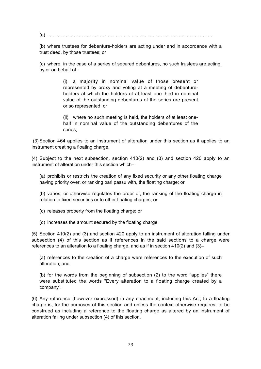(a) . . . . . . . . . . . . . . . . . . . . . . . . . . . . . . . . . . . . . . . . . . . . . . . . . . . . . . . . . . . . . . .

(b) where trustees for debenture-holders are acting under and in accordance with a trust deed, by those trustees; or

(c) where, in the case of a series of secured debentures, no such trustees are acting, by or on behalf of–

> (i) a majority in nominal value of those present or represented by proxy and voting at a meeting of debentureholders at which the holders of at least one-third in nominal value of the outstanding debentures of the series are present or so represented; or

> (ii) where no such meeting is held, the holders of at least onehalf in nominal value of the outstanding debentures of the series;

(3) Section 464 applies to an instrument of alteration under this section as it applies to an instrument creating a floating charge.

(4) Subject to the next subsection, section 410(2) and (3) and section 420 apply to an instrument of alteration under this section which–

(a) prohibits or restricts the creation of any fixed security or any other floating charge having priority over, or ranking pari passu with, the floating charge; or

(b) varies, or otherwise regulates the order of, the ranking of the floating charge in relation to fixed securities or to other floating charges; or

- (c) releases property from the floating charge; or
- (d) increases the amount secured by the floating charge.

(5) Section 410(2) and (3) and section 420 apply to an instrument of alteration falling under subsection (4) of this section as if references in the said sections to a charge were references to an alteration to a floating charge, and as if in section 410(2) and (3)–

(a) references to the creation of a charge were references to the execution of such alteration; and

(b) for the words from the beginning of subsection (2) to the word "applies" there were substituted the words "Every alteration to a floating charge created by a company".

(6) Any reference (however expressed) in any enactment, including this Act, to a floating charge is, for the purposes of this section and unless the context otherwise requires, to be construed as including a reference to the floating charge as altered by an instrument of alteration falling under subsection (4) of this section.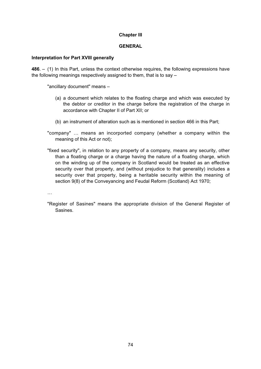# **Chapter III**

# **GENERAL**

# **Interpretation for Part XVIII generally**

**486**. – (1) In this Part, unless the context otherwise requires, the following expressions have the following meanings respectively assigned to them, that is to say –

"ancillary document" means –

- (a) a document which relates to the floating charge and which was executed by the debtor or creditor in the charge before the registration of the charge in accordance with Chapter II of Part XII; or
- (b) an instrument of alteration such as is mentioned in section 466 in this Part;
- "company" … means an incorported company (whether a company within the meaning of this Act or not);
- "fixed security", in relation to any property of a company, means any security, other than a floating charge or a charge having the nature of a floating charge, which on the winding up of the company in Scotland would be treated as an effective security over that property, and (without prejudice to that generality) includes a security over that property, being a heritable security within the meaning of section 9(8) of the Conveyancing and Feudal Reform (Scotland) Act 1970;

…

"Register of Sasines" means the appropriate division of the General Register of Sasines.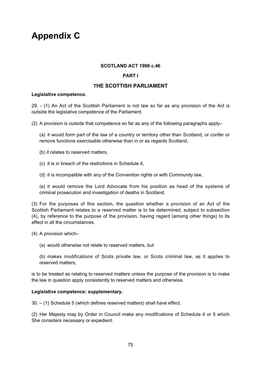# **Appendix C**

#### **SCOTLAND ACT 1998 c.46**

# **PART I**

# **THE SCOTTISH PARLIAMENT**

#### **Legislative competence.**

29. - (1) An Act of the Scottish Parliament is not law so far as any provision of the Act is outside the legislative competence of the Parliament.

(2) A provision is outside that competence so far as any of the following paragraphs apply–

(a) it would form part of the law of a country or territory other than Scotland, or confer or remove functions exercisable otherwise than in or as regards Scotland,

- (b) it relates to reserved matters,
- (c) it is in breach of the restrictions in Schedule 4,
- (d) it is incompatible with any of the Convention rights or with Community law,

(e) it would remove the Lord Advocate from his position as head of the systems of criminal prosecution and investigation of deaths in Scotland.

(3) For the purposes of this section, the question whether a provision of an Act of the Scottish Parliament relates to a reserved matter is to be determined, subject to subsection (4), by reference to the purpose of the provision, having regard (among other things) to its effect in all the circumstances.

- (4) A provision which–
	- (a) would otherwise not relate to reserved matters, but
	- (b) makes modifications of Scots private law, or Scots criminal law, as it applies to reserved matters,

is to be treated as relating to reserved matters unless the purpose of the provision is to make the law in question apply consistently to reserved matters and otherwise.

#### **Legislative competence: supplementary.**

30. – (1) Schedule 5 (which defines reserved matters) shall have effect.

(2) Her Majesty may by Order in Council make any modifications of Schedule 4 or 5 which She considers necessary or expedient.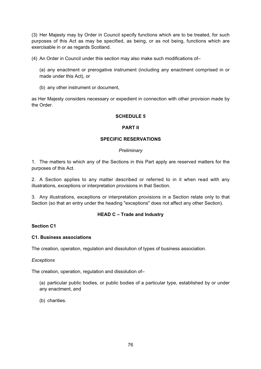(3) Her Majesty may by Order in Council specify functions which are to be treated, for such purposes of this Act as may be specified, as being, or as not being, functions which are exercisable in or as regards Scotland.

(4) An Order in Council under this section may also make such modifications of–

(a) any enactment or prerogative instrument (including any enactment comprised in or made under this Act), or

(b) any other instrument or document,

as Her Majesty considers necessary or expedient in connection with other provision made by the Order.

# **SCHEDULE 5**

## **PART II**

## **SPECIFIC RESERVATIONS**

#### *Preliminary*

1. The matters to which any of the Sections in this Part apply are reserved matters for the purposes of this Act.

2. A Section applies to any matter described or referred to in it when read with any illustrations, exceptions or interpretation provisions in that Section.

3. Any illustrations, exceptions or interpretation provisions in a Section relate only to that Section (so that an entry under the heading "exceptions" does not affect any other Section).

# **HEAD C – Trade and Industry**

### **Section C1**

# **C1. Business associations**

The creation, operation, regulation and dissolution of types of business association.

#### *Exceptions*

The creation, operation, regulation and dissolution of–

(a) particular public bodies, or public bodies of a particular type, established by or under any enactment, and

(b) charities.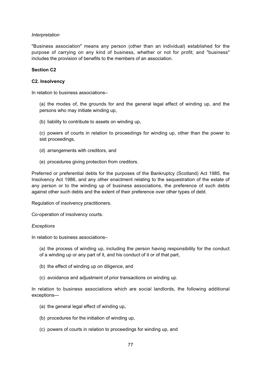# *Interpretation*

"Business association" means any person (other than an individual) established for the purpose of carrying on any kind of business, whether or not for profit; and "business" includes the provision of benefits to the members of an association.

## **Section C2**

# **C2. Insolvency**

In relation to business associations–

(a) the modes of, the grounds for and the general legal effect of winding up, and the persons who may initiate winding up,

(b) liability to contribute to assets on winding up,

(c) powers of courts in relation to proceedings for winding up, other than the power to sist proceedings,

- (d) arrangements with creditors, and
- (e) procedures giving protection from creditors.

Preferred or preferential debts for the purposes of the Bankruptcy (Scotland) Act 1985, the Insolvency Act 1986, and any other enactment relating to the sequestration of the estate of any person or to the winding up of business associations, the preference of such debts against other such debts and the extent of their preference over other types of debt.

Regulation of insolvency practitioners.

Co-operation of insolvency courts.

#### *Exceptions*

In relation to business associations–

(a) the process of winding up, including the person having responsibility for the conduct of a winding up or any part of it, and his conduct of it or of that part,

- (b) the effect of winding up on diligence, and
- (c) avoidance and adjustment of prior transactions on winding up.

In relation to business associations which are social landlords, the following additional exceptions—

- (a) the general legal effect of winding up,
- (b) procedures for the initiation of winding up,
- (c) powers of courts in relation to proceedings for winding up, and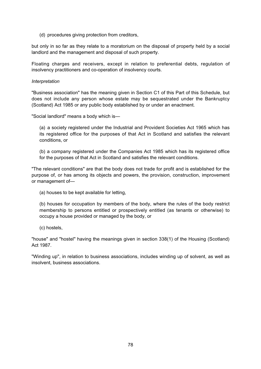(d) procedures giving protection from creditors,

but only in so far as they relate to a moratorium on the disposal of property held by a social landlord and the management and disposal of such property.

Floating charges and receivers, except in relation to preferential debts, regulation of insolvency practitioners and co-operation of insolvency courts.

#### *Interpretation*

"Business association" has the meaning given in Section C1 of this Part of this Schedule, but does not include any person whose estate may be sequestrated under the Bankruptcy (Scotland) Act 1985 or any public body established by or under an enactment.

"Social landlord" means a body which is—

(a) a society registered under the Industrial and Provident Societies Act 1965 which has its registered office for the purposes of that Act in Scotland and satisfies the relevant conditions, or

(b) a company registered under the Companies Act 1985 which has its registered office for the purposes of that Act in Scotland and satisfies the relevant conditions.

"The relevant conditions" are that the body does not trade for profit and is established for the purpose of, or has among its objects and powers, the provision, construction, improvement or management of—

(a) houses to be kept available for letting,

(b) houses for occupation by members of the body, where the rules of the body restrict membership to persons entitled or prospectively entitled (as tenants or otherwise) to occupy a house provided or managed by the body, or

(c) hostels,

"house" and "hostel" having the meanings given in section 338(1) of the Housing (Scotland) Act 1987.

"Winding up", in relation to business associations, includes winding up of solvent, as well as insolvent, business associations.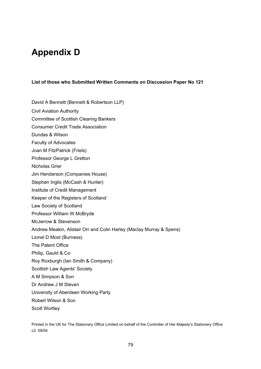# **Appendix D**

# **List of those who Submitted Written Comments on Discussion Paper No 121**

- David A Bennett (Bennett & Robertson LLP)
- Civil Aviation Authority
- Committee of Scottish Clearing Bankers
- Consumer Credit Trade Association
- Dundas & Wilson
- Faculty of Advocates
- Joan M FitzPatrick (Friels)
- Professor George L Gretton
- Nicholas Grier
- Jim Henderson (Companies House)
- Stephen Inglis (McCash & Hunter)
- Institute of Credit Management
- Keeper of the Registers of Scotland
- Law Society of Scotland
- Professor William W McBryde
- McJerrow & Stevenson
- Andrew Meakin, Alistair Orr and Colin Harley (Maclay Murray & Spens)
- Lionel D Most (Burness)
- The Patent Office
- Philip, Gauld & Co
- Roy Roxburgh (Ian Smith & Company)
- Scottish Law Agents' Society
- A M Simpson & Son
- Dr Andrew J M Steven
- University of Aberdeen Working Party
- Robert Wilson & Son
- Scott Wortley

Printed in the UK for The Stationery Office Limited on behalf of the Controller of Her Majesty's Stationery Office c3 09/04